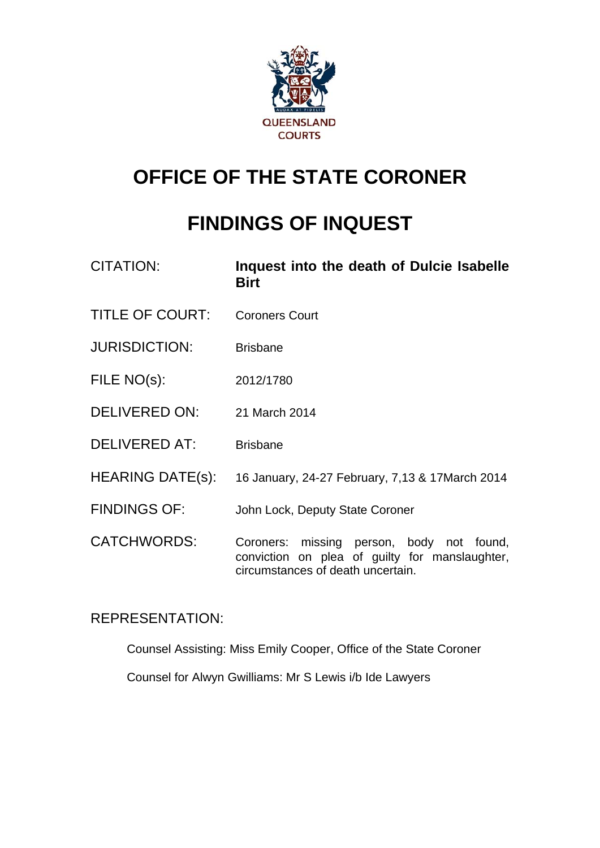

# **OFFICE OF THE STATE CORONER**

# **FINDINGS OF INQUEST**

| <b>CITATION:</b>        | Inquest into the death of Dulcie Isabelle<br><b>Birt</b>                                                                         |
|-------------------------|----------------------------------------------------------------------------------------------------------------------------------|
| <b>TITLE OF COURT:</b>  | <b>Coroners Court</b>                                                                                                            |
| <b>JURISDICTION:</b>    | <b>Brisbane</b>                                                                                                                  |
| FILE NO(s):             | 2012/1780                                                                                                                        |
| <b>DELIVERED ON:</b>    | 21 March 2014                                                                                                                    |
| <b>DELIVERED AT:</b>    | <b>Brisbane</b>                                                                                                                  |
| <b>HEARING DATE(s):</b> | 16 January, 24-27 February, 7,13 & 17 March 2014                                                                                 |
| <b>FINDINGS OF:</b>     | John Lock, Deputy State Coroner                                                                                                  |
| <b>CATCHWORDS:</b>      | Coroners: missing person, body not found,<br>conviction on plea of guilty for manslaughter,<br>circumstances of death uncertain. |

# REPRESENTATION:

Counsel Assisting: Miss Emily Cooper, Office of the State Coroner

Counsel for Alwyn Gwilliams: Mr S Lewis i/b Ide Lawyers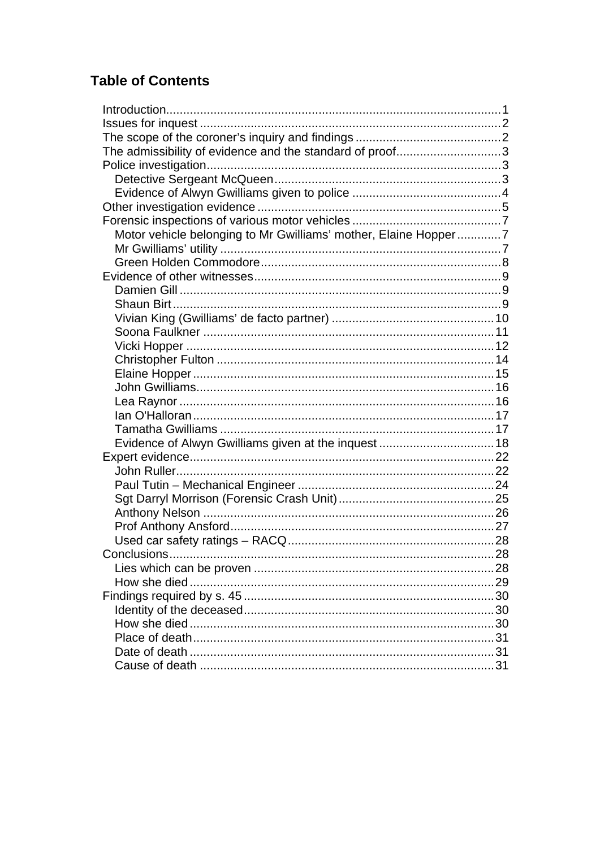# **Table of Contents**

| The admissibility of evidence and the standard of proof3        |  |
|-----------------------------------------------------------------|--|
|                                                                 |  |
|                                                                 |  |
|                                                                 |  |
|                                                                 |  |
|                                                                 |  |
| Motor vehicle belonging to Mr Gwilliams' mother, Elaine Hopper7 |  |
|                                                                 |  |
|                                                                 |  |
|                                                                 |  |
|                                                                 |  |
|                                                                 |  |
|                                                                 |  |
|                                                                 |  |
|                                                                 |  |
|                                                                 |  |
|                                                                 |  |
|                                                                 |  |
|                                                                 |  |
|                                                                 |  |
|                                                                 |  |
|                                                                 |  |
|                                                                 |  |
|                                                                 |  |
|                                                                 |  |
|                                                                 |  |
|                                                                 |  |
|                                                                 |  |
|                                                                 |  |
| Conclusions                                                     |  |
|                                                                 |  |
|                                                                 |  |
|                                                                 |  |
|                                                                 |  |
|                                                                 |  |
|                                                                 |  |
|                                                                 |  |
|                                                                 |  |
|                                                                 |  |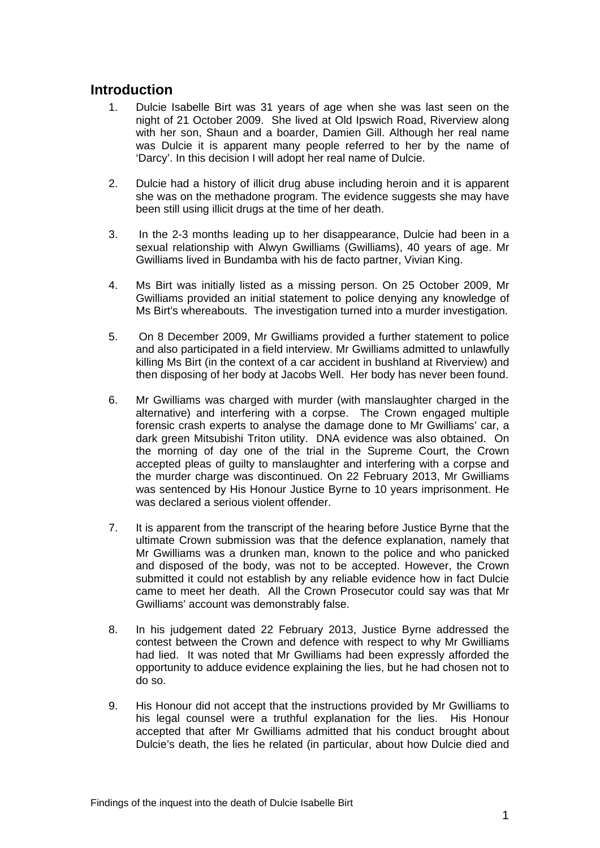# <span id="page-2-0"></span>**Introduction**

- 1. Dulcie Isabelle Birt was 31 years of age when she was last seen on the night of 21 October 2009. She lived at Old Ipswich Road, Riverview along with her son, Shaun and a boarder, Damien Gill. Although her real name was Dulcie it is apparent many people referred to her by the name of 'Darcy'. In this decision I will adopt her real name of Dulcie.
- 2. Dulcie had a history of illicit drug abuse including heroin and it is apparent she was on the methadone program. The evidence suggests she may have been still using illicit drugs at the time of her death.
- 3. In the 2-3 months leading up to her disappearance, Dulcie had been in a sexual relationship with Alwyn Gwilliams (Gwilliams), 40 years of age. Mr Gwilliams lived in Bundamba with his de facto partner, Vivian King.
- 4. Ms Birt was initially listed as a missing person. On 25 October 2009, Mr Gwilliams provided an initial statement to police denying any knowledge of Ms Birt's whereabouts. The investigation turned into a murder investigation.
- 5. On 8 December 2009, Mr Gwilliams provided a further statement to police and also participated in a field interview. Mr Gwilliams admitted to unlawfully killing Ms Birt (in the context of a car accident in bushland at Riverview) and then disposing of her body at Jacobs Well. Her body has never been found.
- 6. Mr Gwilliams was charged with murder (with manslaughter charged in the alternative) and interfering with a corpse. The Crown engaged multiple forensic crash experts to analyse the damage done to Mr Gwilliams' car, a dark green Mitsubishi Triton utility. DNA evidence was also obtained. On the morning of day one of the trial in the Supreme Court, the Crown accepted pleas of guilty to manslaughter and interfering with a corpse and the murder charge was discontinued. On 22 February 2013, Mr Gwilliams was sentenced by His Honour Justice Byrne to 10 years imprisonment. He was declared a serious violent offender.
- 7. It is apparent from the transcript of the hearing before Justice Byrne that the ultimate Crown submission was that the defence explanation, namely that Mr Gwilliams was a drunken man, known to the police and who panicked and disposed of the body, was not to be accepted. However, the Crown submitted it could not establish by any reliable evidence how in fact Dulcie came to meet her death. All the Crown Prosecutor could say was that Mr Gwilliams' account was demonstrably false.
- 8. In his judgement dated 22 February 2013, Justice Byrne addressed the contest between the Crown and defence with respect to why Mr Gwilliams had lied. It was noted that Mr Gwilliams had been expressly afforded the opportunity to adduce evidence explaining the lies, but he had chosen not to do so.
- 9. His Honour did not accept that the instructions provided by Mr Gwilliams to his legal counsel were a truthful explanation for the lies. His Honour accepted that after Mr Gwilliams admitted that his conduct brought about Dulcie's death, the lies he related (in particular, about how Dulcie died and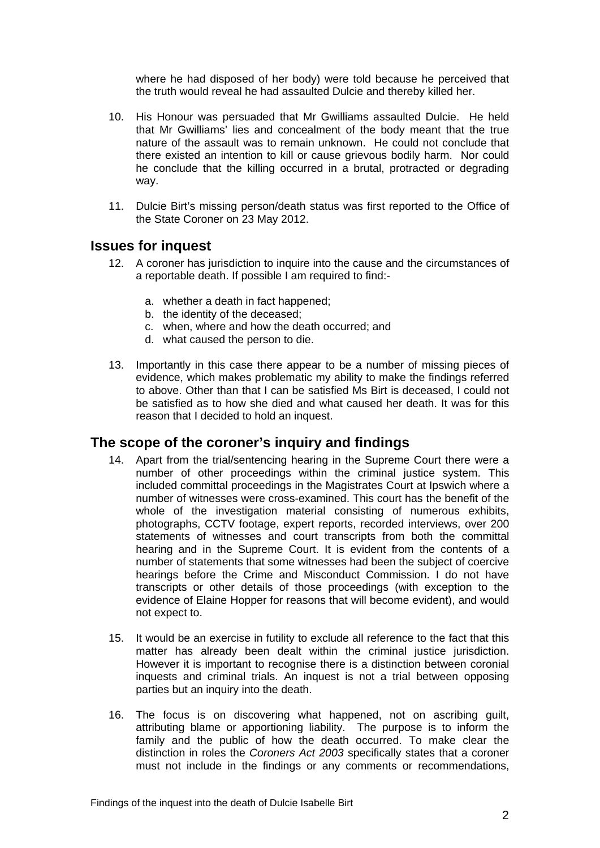where he had disposed of her body) were told because he perceived that the truth would reveal he had assaulted Dulcie and thereby killed her.

- 10. His Honour was persuaded that Mr Gwilliams assaulted Dulcie. He held that Mr Gwilliams' lies and concealment of the body meant that the true nature of the assault was to remain unknown. He could not conclude that there existed an intention to kill or cause grievous bodily harm. Nor could he conclude that the killing occurred in a brutal, protracted or degrading way.
- 11. Dulcie Birt's missing person/death status was first reported to the Office of the State Coroner on 23 May 2012.

#### <span id="page-3-0"></span>**Issues for inquest**

- 12. A coroner has jurisdiction to inquire into the cause and the circumstances of a reportable death. If possible I am required to find:
	- a. whether a death in fact happened;
	- b. the identity of the deceased;
	- c. when, where and how the death occurred; and
	- d. what caused the person to die.
- 13. Importantly in this case there appear to be a number of missing pieces of evidence, which makes problematic my ability to make the findings referred to above. Other than that I can be satisfied Ms Birt is deceased, I could not be satisfied as to how she died and what caused her death. It was for this reason that I decided to hold an inquest.

# <span id="page-3-1"></span>**The scope of the coroner's inquiry and findings**

- 14. Apart from the trial/sentencing hearing in the Supreme Court there were a number of other proceedings within the criminal justice system. This included committal proceedings in the Magistrates Court at Ipswich where a number of witnesses were cross-examined. This court has the benefit of the whole of the investigation material consisting of numerous exhibits, photographs, CCTV footage, expert reports, recorded interviews, over 200 statements of witnesses and court transcripts from both the committal hearing and in the Supreme Court. It is evident from the contents of a number of statements that some witnesses had been the subject of coercive hearings before the Crime and Misconduct Commission. I do not have transcripts or other details of those proceedings (with exception to the evidence of Elaine Hopper for reasons that will become evident), and would not expect to.
- 15. It would be an exercise in futility to exclude all reference to the fact that this matter has already been dealt within the criminal justice jurisdiction. However it is important to recognise there is a distinction between coronial inquests and criminal trials. An inquest is not a trial between opposing parties but an inquiry into the death.
- 16. The focus is on discovering what happened, not on ascribing guilt, attributing blame or apportioning liability. The purpose is to inform the family and the public of how the death occurred. To make clear the distinction in roles the *Coroners Act 2003* specifically states that a coroner must not include in the findings or any comments or recommendations,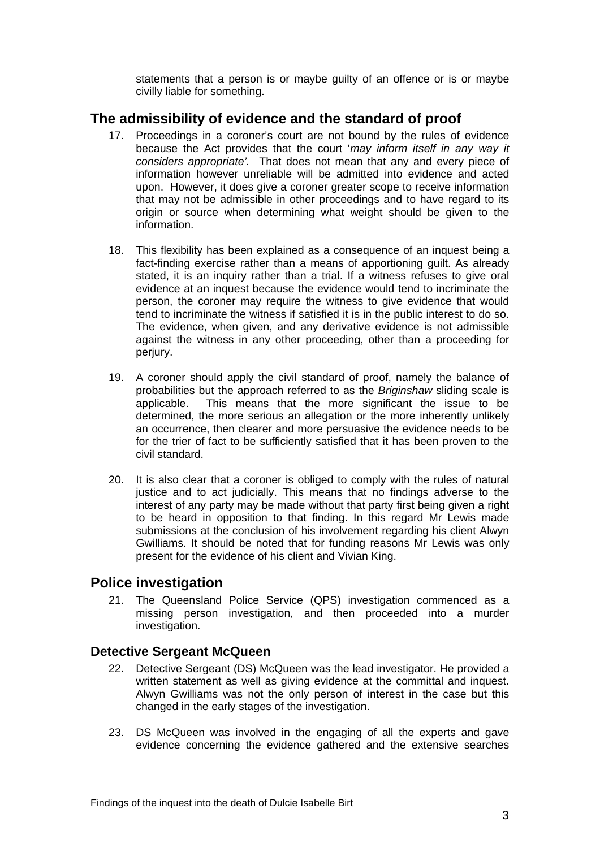statements that a person is or maybe guilty of an offence or is or maybe civilly liable for something.

# <span id="page-4-0"></span>**The admissibility of evidence and the standard of proof**

- 17. Proceedings in a coroner's court are not bound by the rules of evidence because the Act provides that the court '*may inform itself in any way it considers appropriate'.* That does not mean that any and every piece of information however unreliable will be admitted into evidence and acted upon. However, it does give a coroner greater scope to receive information that may not be admissible in other proceedings and to have regard to its origin or source when determining what weight should be given to the information.
- 18. This flexibility has been explained as a consequence of an inquest being a fact-finding exercise rather than a means of apportioning guilt. As already stated, it is an inquiry rather than a trial. If a witness refuses to give oral evidence at an inquest because the evidence would tend to incriminate the person, the coroner may require the witness to give evidence that would tend to incriminate the witness if satisfied it is in the public interest to do so. The evidence, when given, and any derivative evidence is not admissible against the witness in any other proceeding, other than a proceeding for perjury.
- 19. A coroner should apply the civil standard of proof, namely the balance of probabilities but the approach referred to as the *Briginshaw* sliding scale is applicable. This means that the more significant the issue to be determined, the more serious an allegation or the more inherently unlikely an occurrence, then clearer and more persuasive the evidence needs to be for the trier of fact to be sufficiently satisfied that it has been proven to the civil standard.
- 20. It is also clear that a coroner is obliged to comply with the rules of natural justice and to act judicially. This means that no findings adverse to the interest of any party may be made without that party first being given a right to be heard in opposition to that finding. In this regard Mr Lewis made submissions at the conclusion of his involvement regarding his client Alwyn Gwilliams. It should be noted that for funding reasons Mr Lewis was only present for the evidence of his client and Vivian King.

# <span id="page-4-1"></span>**Police investigation**

21. The Queensland Police Service (QPS) investigation commenced as a missing person investigation, and then proceeded into a murder investigation.

#### <span id="page-4-2"></span>**Detective Sergeant McQueen**

- 22. Detective Sergeant (DS) McQueen was the lead investigator. He provided a written statement as well as giving evidence at the committal and inquest. Alwyn Gwilliams was not the only person of interest in the case but this changed in the early stages of the investigation.
- 23. DS McQueen was involved in the engaging of all the experts and gave evidence concerning the evidence gathered and the extensive searches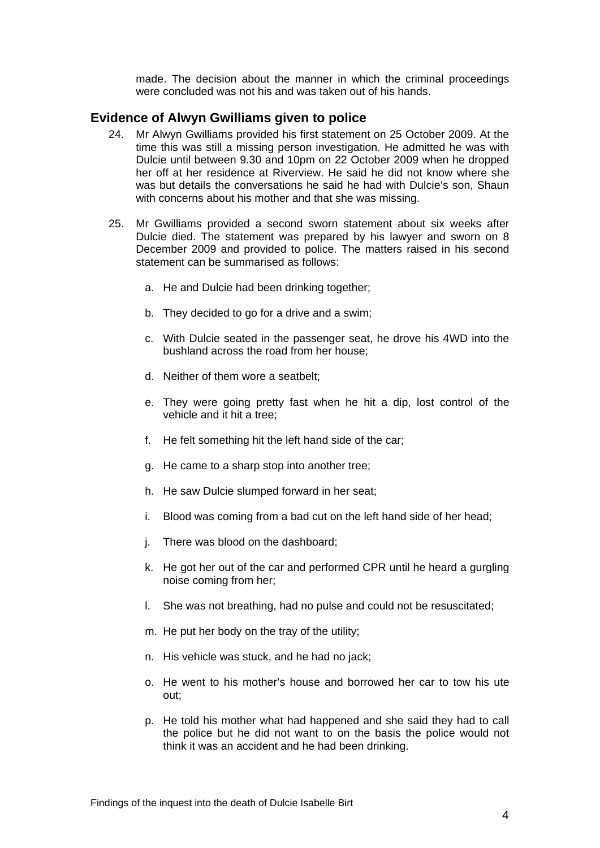made. The decision about the manner in which the criminal proceedings were concluded was not his and was taken out of his hands.

#### <span id="page-5-0"></span>**Evidence of Alwyn Gwilliams given to police**

- 24. Mr Alwyn Gwilliams provided his first statement on 25 October 2009. At the time this was still a missing person investigation. He admitted he was with Dulcie until between 9.30 and 10pm on 22 October 2009 when he dropped her off at her residence at Riverview. He said he did not know where she was but details the conversations he said he had with Dulcie's son, Shaun with concerns about his mother and that she was missing.
- 25. Mr Gwilliams provided a second sworn statement about six weeks after Dulcie died. The statement was prepared by his lawyer and sworn on 8 December 2009 and provided to police. The matters raised in his second statement can be summarised as follows:
	- a. He and Dulcie had been drinking together;
	- b. They decided to go for a drive and a swim;
	- c. With Dulcie seated in the passenger seat, he drove his 4WD into the bushland across the road from her house;
	- d. Neither of them wore a seatbelt;
	- e. They were going pretty fast when he hit a dip, lost control of the vehicle and it hit a tree;
	- f. He felt something hit the left hand side of the car;
	- g. He came to a sharp stop into another tree;
	- h. He saw Dulcie slumped forward in her seat;
	- i. Blood was coming from a bad cut on the left hand side of her head;
	- j. There was blood on the dashboard;
	- k. He got her out of the car and performed CPR until he heard a gurgling noise coming from her;
	- l. She was not breathing, had no pulse and could not be resuscitated;
	- m. He put her body on the tray of the utility;
	- n. His vehicle was stuck, and he had no jack;
	- o. He went to his mother's house and borrowed her car to tow his ute out;
	- p. He told his mother what had happened and she said they had to call the police but he did not want to on the basis the police would not think it was an accident and he had been drinking.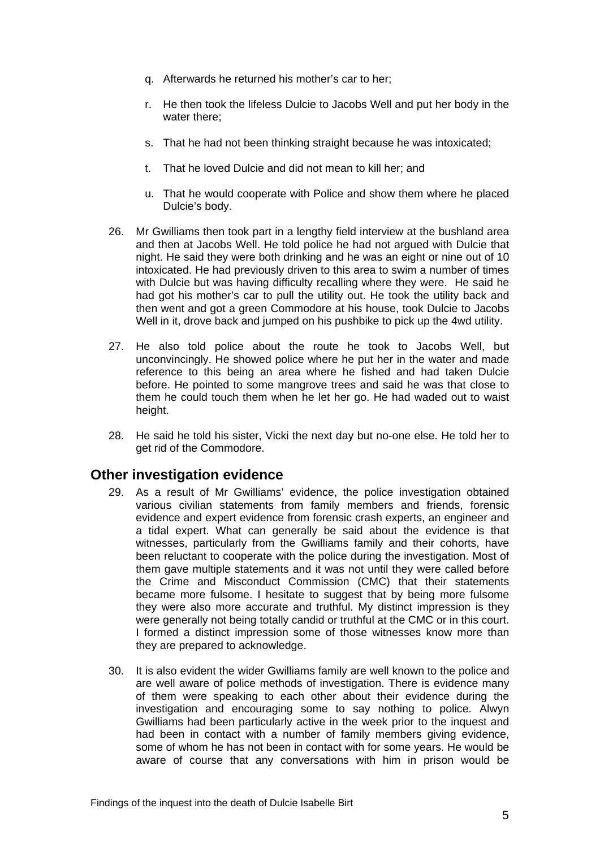- q. Afterwards he returned his mother's car to her;
- r. He then took the lifeless Dulcie to Jacobs Well and put her body in the water there;
- s. That he had not been thinking straight because he was intoxicated;
- t. That he loved Dulcie and did not mean to kill her; and
- u. That he would cooperate with Police and show them where he placed Dulcie's body.
- 26. Mr Gwilliams then took part in a lengthy field interview at the bushland area and then at Jacobs Well. He told police he had not argued with Dulcie that night. He said they were both drinking and he was an eight or nine out of 10 intoxicated. He had previously driven to this area to swim a number of times with Dulcie but was having difficulty recalling where they were. He said he had got his mother's car to pull the utility out. He took the utility back and then went and got a green Commodore at his house, took Dulcie to Jacobs Well in it, drove back and jumped on his pushbike to pick up the 4wd utility.
- 27. He also told police about the route he took to Jacobs Well, but unconvincingly. He showed police where he put her in the water and made reference to this being an area where he fished and had taken Dulcie before. He pointed to some mangrove trees and said he was that close to them he could touch them when he let her go. He had waded out to waist height.
- 28. He said he told his sister, Vicki the next day but no-one else. He told her to get rid of the Commodore.

# <span id="page-6-0"></span>**Other investigation evidence**

- 29. As a result of Mr Gwilliams' evidence, the police investigation obtained various civilian statements from family members and friends, forensic evidence and expert evidence from forensic crash experts, an engineer and a tidal expert. What can generally be said about the evidence is that witnesses, particularly from the Gwilliams family and their cohorts, have been reluctant to cooperate with the police during the investigation. Most of them gave multiple statements and it was not until they were called before the Crime and Misconduct Commission (CMC) that their statements became more fulsome. I hesitate to suggest that by being more fulsome they were also more accurate and truthful. My distinct impression is they were generally not being totally candid or truthful at the CMC or in this court. I formed a distinct impression some of those witnesses know more than they are prepared to acknowledge.
- 30. It is also evident the wider Gwilliams family are well known to the police and are well aware of police methods of investigation. There is evidence many of them were speaking to each other about their evidence during the investigation and encouraging some to say nothing to police. Alwyn Gwilliams had been particularly active in the week prior to the inquest and had been in contact with a number of family members giving evidence, some of whom he has not been in contact with for some years. He would be aware of course that any conversations with him in prison would be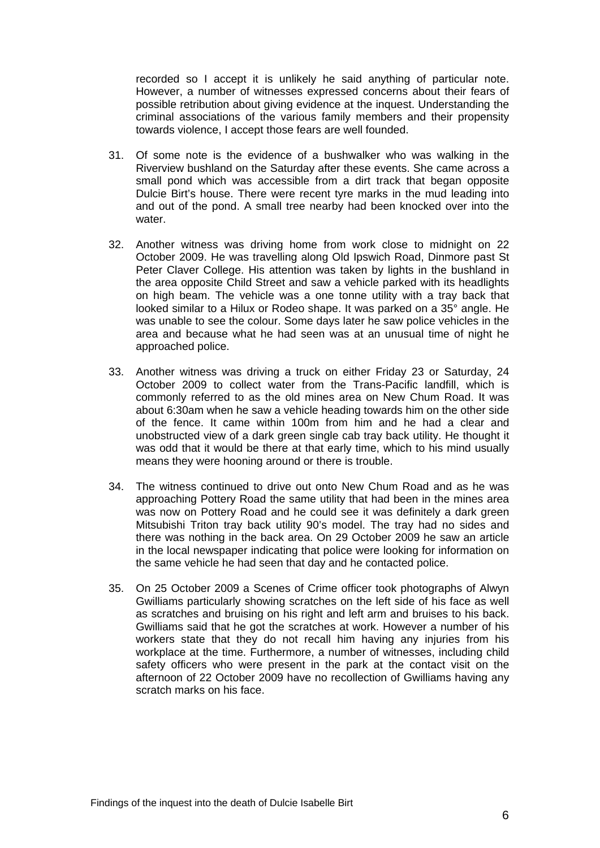recorded so I accept it is unlikely he said anything of particular note. However, a number of witnesses expressed concerns about their fears of possible retribution about giving evidence at the inquest. Understanding the criminal associations of the various family members and their propensity towards violence, I accept those fears are well founded.

- 31. Of some note is the evidence of a bushwalker who was walking in the Riverview bushland on the Saturday after these events. She came across a small pond which was accessible from a dirt track that began opposite Dulcie Birt's house. There were recent tyre marks in the mud leading into and out of the pond. A small tree nearby had been knocked over into the water.
- 32. Another witness was driving home from work close to midnight on 22 October 2009. He was travelling along Old Ipswich Road, Dinmore past St Peter Claver College. His attention was taken by lights in the bushland in the area opposite Child Street and saw a vehicle parked with its headlights on high beam. The vehicle was a one tonne utility with a tray back that looked similar to a Hilux or Rodeo shape. It was parked on a 35° angle. He was unable to see the colour. Some days later he saw police vehicles in the area and because what he had seen was at an unusual time of night he approached police.
- 33. Another witness was driving a truck on either Friday 23 or Saturday, 24 October 2009 to collect water from the Trans-Pacific landfill, which is commonly referred to as the old mines area on New Chum Road. It was about 6:30am when he saw a vehicle heading towards him on the other side of the fence. It came within 100m from him and he had a clear and unobstructed view of a dark green single cab tray back utility. He thought it was odd that it would be there at that early time, which to his mind usually means they were hooning around or there is trouble.
- 34. The witness continued to drive out onto New Chum Road and as he was approaching Pottery Road the same utility that had been in the mines area was now on Pottery Road and he could see it was definitely a dark green Mitsubishi Triton tray back utility 90's model. The tray had no sides and there was nothing in the back area. On 29 October 2009 he saw an article in the local newspaper indicating that police were looking for information on the same vehicle he had seen that day and he contacted police.
- 35. On 25 October 2009 a Scenes of Crime officer took photographs of Alwyn Gwilliams particularly showing scratches on the left side of his face as well as scratches and bruising on his right and left arm and bruises to his back. Gwilliams said that he got the scratches at work. However a number of his workers state that they do not recall him having any injuries from his workplace at the time. Furthermore, a number of witnesses, including child safety officers who were present in the park at the contact visit on the afternoon of 22 October 2009 have no recollection of Gwilliams having any scratch marks on his face.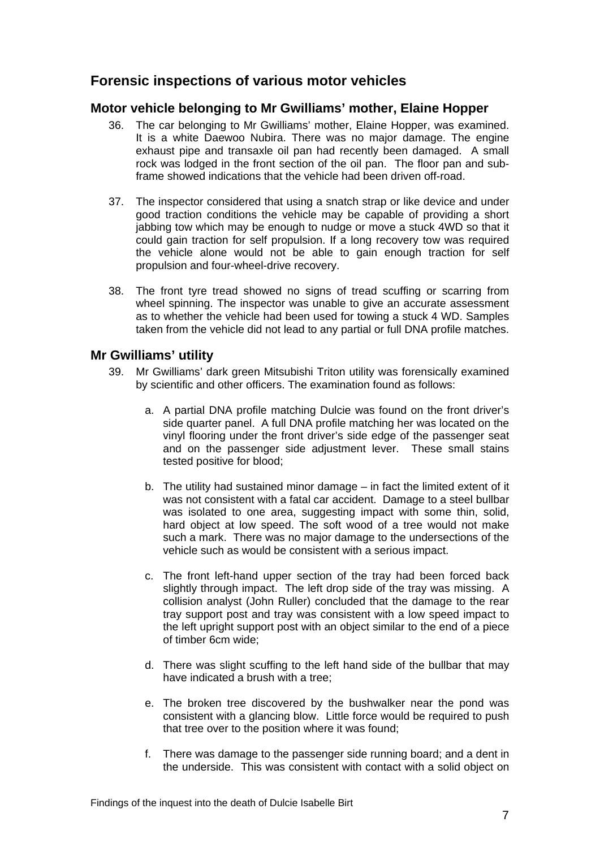# <span id="page-8-0"></span>**Forensic inspections of various motor vehicles**

#### <span id="page-8-1"></span>**Motor vehicle belonging to Mr Gwilliams' mother, Elaine Hopper**

- 36. The car belonging to Mr Gwilliams' mother, Elaine Hopper, was examined. It is a white Daewoo Nubira. There was no major damage. The engine exhaust pipe and transaxle oil pan had recently been damaged. A small rock was lodged in the front section of the oil pan. The floor pan and subframe showed indications that the vehicle had been driven off-road.
- 37. The inspector considered that using a snatch strap or like device and under good traction conditions the vehicle may be capable of providing a short jabbing tow which may be enough to nudge or move a stuck 4WD so that it could gain traction for self propulsion. If a long recovery tow was required the vehicle alone would not be able to gain enough traction for self propulsion and four-wheel-drive recovery.
- 38. The front tyre tread showed no signs of tread scuffing or scarring from wheel spinning. The inspector was unable to give an accurate assessment as to whether the vehicle had been used for towing a stuck 4 WD. Samples taken from the vehicle did not lead to any partial or full DNA profile matches.

#### <span id="page-8-2"></span>**Mr Gwilliams' utility**

- 39. Mr Gwilliams' dark green Mitsubishi Triton utility was forensically examined by scientific and other officers. The examination found as follows:
	- a. A partial DNA profile matching Dulcie was found on the front driver's side quarter panel. A full DNA profile matching her was located on the vinyl flooring under the front driver's side edge of the passenger seat and on the passenger side adjustment lever. These small stains tested positive for blood;
	- b. The utility had sustained minor damage in fact the limited extent of it was not consistent with a fatal car accident. Damage to a steel bullbar was isolated to one area, suggesting impact with some thin, solid, hard object at low speed. The soft wood of a tree would not make such a mark. There was no major damage to the undersections of the vehicle such as would be consistent with a serious impact.
	- c. The front left-hand upper section of the tray had been forced back slightly through impact. The left drop side of the tray was missing. A collision analyst (John Ruller) concluded that the damage to the rear tray support post and tray was consistent with a low speed impact to the left upright support post with an object similar to the end of a piece of timber 6cm wide;
	- d. There was slight scuffing to the left hand side of the bullbar that may have indicated a brush with a tree;
	- e. The broken tree discovered by the bushwalker near the pond was consistent with a glancing blow. Little force would be required to push that tree over to the position where it was found;
	- f. There was damage to the passenger side running board; and a dent in the underside. This was consistent with contact with a solid object on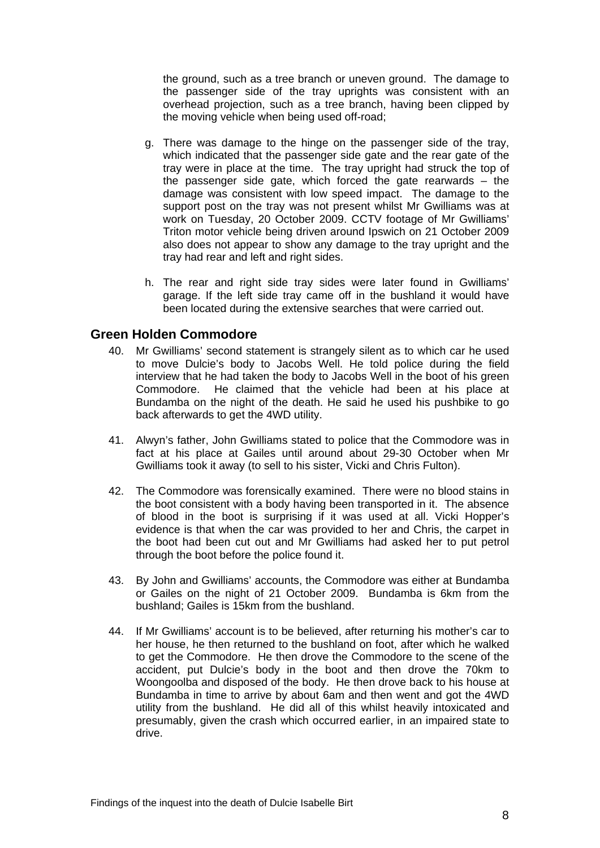the ground, such as a tree branch or uneven ground. The damage to the passenger side of the tray uprights was consistent with an overhead projection, such as a tree branch, having been clipped by the moving vehicle when being used off-road;

- g. There was damage to the hinge on the passenger side of the tray, which indicated that the passenger side gate and the rear gate of the tray were in place at the time. The tray upright had struck the top of the passenger side gate, which forced the gate rearwards – the damage was consistent with low speed impact. The damage to the support post on the tray was not present whilst Mr Gwilliams was at work on Tuesday, 20 October 2009. CCTV footage of Mr Gwilliams' Triton motor vehicle being driven around Ipswich on 21 October 2009 also does not appear to show any damage to the tray upright and the tray had rear and left and right sides.
- h. The rear and right side tray sides were later found in Gwilliams' garage. If the left side tray came off in the bushland it would have been located during the extensive searches that were carried out.

#### <span id="page-9-0"></span>**Green Holden Commodore**

- 40. Mr Gwilliams' second statement is strangely silent as to which car he used to move Dulcie's body to Jacobs Well. He told police during the field interview that he had taken the body to Jacobs Well in the boot of his green Commodore. He claimed that the vehicle had been at his place at Bundamba on the night of the death. He said he used his pushbike to go back afterwards to get the 4WD utility.
- 41. Alwyn's father, John Gwilliams stated to police that the Commodore was in fact at his place at Gailes until around about 29-30 October when Mr Gwilliams took it away (to sell to his sister, Vicki and Chris Fulton).
- 42. The Commodore was forensically examined. There were no blood stains in the boot consistent with a body having been transported in it. The absence of blood in the boot is surprising if it was used at all. Vicki Hopper's evidence is that when the car was provided to her and Chris, the carpet in the boot had been cut out and Mr Gwilliams had asked her to put petrol through the boot before the police found it.
- 43. By John and Gwilliams' accounts, the Commodore was either at Bundamba or Gailes on the night of 21 October 2009. Bundamba is 6km from the bushland; Gailes is 15km from the bushland.
- 44. If Mr Gwilliams' account is to be believed, after returning his mother's car to her house, he then returned to the bushland on foot, after which he walked to get the Commodore. He then drove the Commodore to the scene of the accident, put Dulcie's body in the boot and then drove the 70km to Woongoolba and disposed of the body. He then drove back to his house at Bundamba in time to arrive by about 6am and then went and got the 4WD utility from the bushland. He did all of this whilst heavily intoxicated and presumably, given the crash which occurred earlier, in an impaired state to drive.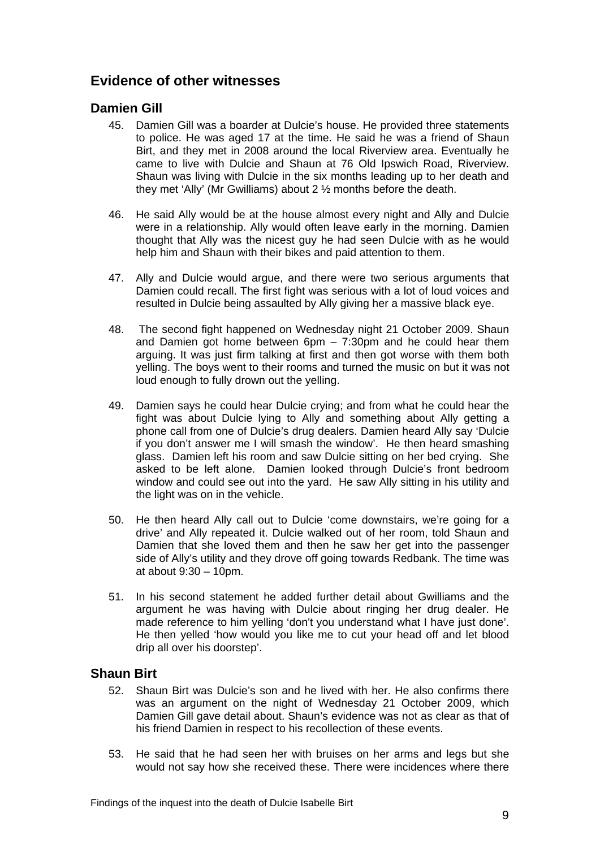# <span id="page-10-0"></span>**Evidence of other witnesses**

#### <span id="page-10-1"></span>**Damien Gill**

- 45. Damien Gill was a boarder at Dulcie's house. He provided three statements to police. He was aged 17 at the time. He said he was a friend of Shaun Birt, and they met in 2008 around the local Riverview area. Eventually he came to live with Dulcie and Shaun at 76 Old Ipswich Road, Riverview. Shaun was living with Dulcie in the six months leading up to her death and they met 'Ally' (Mr Gwilliams) about 2 ½ months before the death.
- 46. He said Ally would be at the house almost every night and Ally and Dulcie were in a relationship. Ally would often leave early in the morning. Damien thought that Ally was the nicest guy he had seen Dulcie with as he would help him and Shaun with their bikes and paid attention to them.
- 47. Ally and Dulcie would argue, and there were two serious arguments that Damien could recall. The first fight was serious with a lot of loud voices and resulted in Dulcie being assaulted by Ally giving her a massive black eye.
- 48. The second fight happened on Wednesday night 21 October 2009. Shaun and Damien got home between 6pm – 7:30pm and he could hear them arguing. It was just firm talking at first and then got worse with them both yelling. The boys went to their rooms and turned the music on but it was not loud enough to fully drown out the yelling.
- 49. Damien says he could hear Dulcie crying; and from what he could hear the fight was about Dulcie lying to Ally and something about Ally getting a phone call from one of Dulcie's drug dealers. Damien heard Ally say 'Dulcie if you don't answer me I will smash the window'. He then heard smashing glass. Damien left his room and saw Dulcie sitting on her bed crying. She asked to be left alone. Damien looked through Dulcie's front bedroom window and could see out into the vard. He saw Ally sitting in his utility and the light was on in the vehicle.
- 50. He then heard Ally call out to Dulcie 'come downstairs, we're going for a drive' and Ally repeated it. Dulcie walked out of her room, told Shaun and Damien that she loved them and then he saw her get into the passenger side of Ally's utility and they drove off going towards Redbank. The time was at about 9:30 – 10pm.
- 51. In his second statement he added further detail about Gwilliams and the argument he was having with Dulcie about ringing her drug dealer. He made reference to him yelling 'don't you understand what I have just done'. He then yelled 'how would you like me to cut your head off and let blood drip all over his doorstep'.

#### <span id="page-10-2"></span>**Shaun Birt**

- 52. Shaun Birt was Dulcie's son and he lived with her. He also confirms there was an argument on the night of Wednesday 21 October 2009, which Damien Gill gave detail about. Shaun's evidence was not as clear as that of his friend Damien in respect to his recollection of these events.
- 53. He said that he had seen her with bruises on her arms and legs but she would not say how she received these. There were incidences where there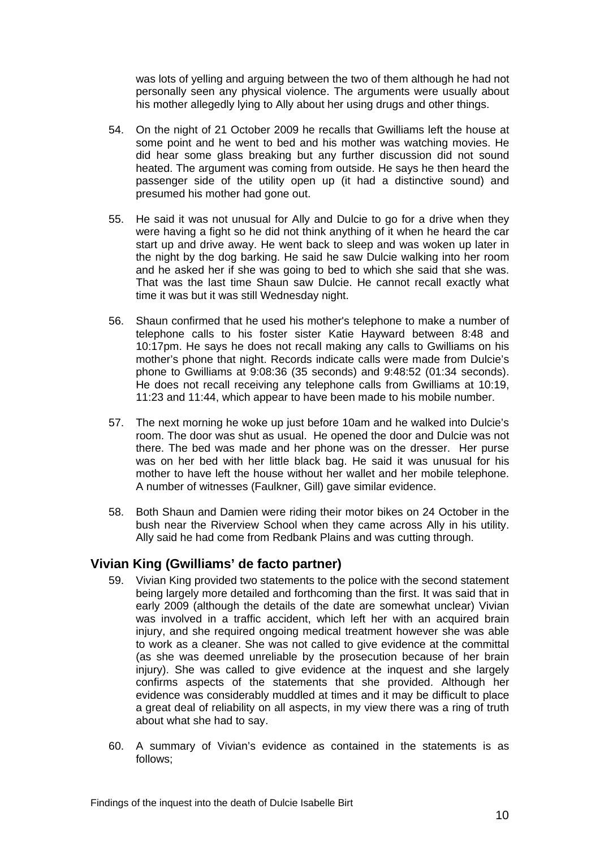was lots of yelling and arguing between the two of them although he had not personally seen any physical violence. The arguments were usually about his mother allegedly lying to Ally about her using drugs and other things.

- 54. On the night of 21 October 2009 he recalls that Gwilliams left the house at some point and he went to bed and his mother was watching movies. He did hear some glass breaking but any further discussion did not sound heated. The argument was coming from outside. He says he then heard the passenger side of the utility open up (it had a distinctive sound) and presumed his mother had gone out.
- 55. He said it was not unusual for Ally and Dulcie to go for a drive when they were having a fight so he did not think anything of it when he heard the car start up and drive away. He went back to sleep and was woken up later in the night by the dog barking. He said he saw Dulcie walking into her room and he asked her if she was going to bed to which she said that she was. That was the last time Shaun saw Dulcie. He cannot recall exactly what time it was but it was still Wednesday night.
- 56. Shaun confirmed that he used his mother's telephone to make a number of telephone calls to his foster sister Katie Hayward between 8:48 and 10:17pm. He says he does not recall making any calls to Gwilliams on his mother's phone that night. Records indicate calls were made from Dulcie's phone to Gwilliams at 9:08:36 (35 seconds) and 9:48:52 (01:34 seconds). He does not recall receiving any telephone calls from Gwilliams at 10:19, 11:23 and 11:44, which appear to have been made to his mobile number.
- 57. The next morning he woke up just before 10am and he walked into Dulcie's room. The door was shut as usual. He opened the door and Dulcie was not there. The bed was made and her phone was on the dresser. Her purse was on her bed with her little black bag. He said it was unusual for his mother to have left the house without her wallet and her mobile telephone. A number of witnesses (Faulkner, Gill) gave similar evidence.
- 58. Both Shaun and Damien were riding their motor bikes on 24 October in the bush near the Riverview School when they came across Ally in his utility. Ally said he had come from Redbank Plains and was cutting through.

# <span id="page-11-0"></span>**Vivian King (Gwilliams' de facto partner)**

- 59. Vivian King provided two statements to the police with the second statement being largely more detailed and forthcoming than the first. It was said that in early 2009 (although the details of the date are somewhat unclear) Vivian was involved in a traffic accident, which left her with an acquired brain injury, and she required ongoing medical treatment however she was able to work as a cleaner. She was not called to give evidence at the committal (as she was deemed unreliable by the prosecution because of her brain injury). She was called to give evidence at the inquest and she largely confirms aspects of the statements that she provided. Although her evidence was considerably muddled at times and it may be difficult to place a great deal of reliability on all aspects, in my view there was a ring of truth about what she had to say.
- 60. A summary of Vivian's evidence as contained in the statements is as follows;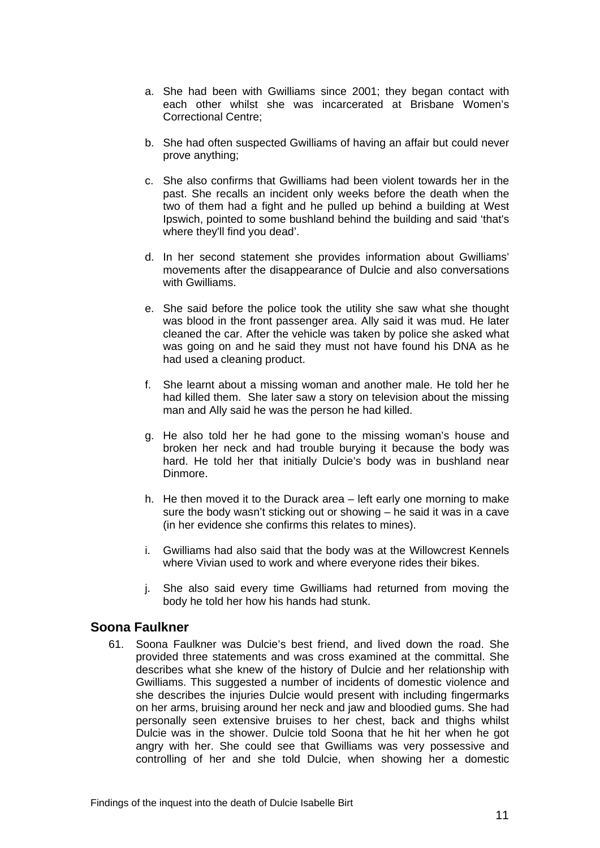- a. She had been with Gwilliams since 2001; they began contact with each other whilst she was incarcerated at Brisbane Women's Correctional Centre;
- b. She had often suspected Gwilliams of having an affair but could never prove anything;
- c. She also confirms that Gwilliams had been violent towards her in the past. She recalls an incident only weeks before the death when the two of them had a fight and he pulled up behind a building at West Ipswich, pointed to some bushland behind the building and said 'that's where they'll find you dead'.
- d. In her second statement she provides information about Gwilliams' movements after the disappearance of Dulcie and also conversations with Gwilliams.
- e. She said before the police took the utility she saw what she thought was blood in the front passenger area. Ally said it was mud. He later cleaned the car. After the vehicle was taken by police she asked what was going on and he said they must not have found his DNA as he had used a cleaning product.
- f. She learnt about a missing woman and another male. He told her he had killed them. She later saw a story on television about the missing man and Ally said he was the person he had killed.
- g. He also told her he had gone to the missing woman's house and broken her neck and had trouble burying it because the body was hard. He told her that initially Dulcie's body was in bushland near Dinmore.
- h. He then moved it to the Durack area left early one morning to make sure the body wasn't sticking out or showing – he said it was in a cave (in her evidence she confirms this relates to mines).
- i. Gwilliams had also said that the body was at the Willowcrest Kennels where Vivian used to work and where everyone rides their bikes.
- j. She also said every time Gwilliams had returned from moving the body he told her how his hands had stunk.

#### <span id="page-12-0"></span>**Soona Faulkner**

61. Soona Faulkner was Dulcie's best friend, and lived down the road. She provided three statements and was cross examined at the committal. She describes what she knew of the history of Dulcie and her relationship with Gwilliams. This suggested a number of incidents of domestic violence and she describes the injuries Dulcie would present with including fingermarks on her arms, bruising around her neck and jaw and bloodied gums. She had personally seen extensive bruises to her chest, back and thighs whilst Dulcie was in the shower. Dulcie told Soona that he hit her when he got angry with her. She could see that Gwilliams was very possessive and controlling of her and she told Dulcie, when showing her a domestic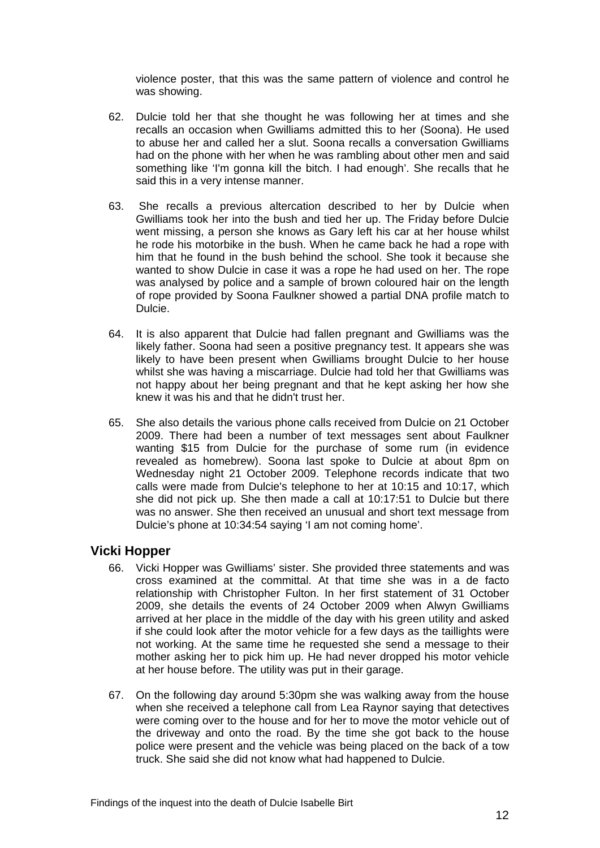violence poster, that this was the same pattern of violence and control he was showing.

- 62. Dulcie told her that she thought he was following her at times and she recalls an occasion when Gwilliams admitted this to her (Soona). He used to abuse her and called her a slut. Soona recalls a conversation Gwilliams had on the phone with her when he was rambling about other men and said something like 'I'm gonna kill the bitch. I had enough'. She recalls that he said this in a very intense manner.
- 63. She recalls a previous altercation described to her by Dulcie when Gwilliams took her into the bush and tied her up. The Friday before Dulcie went missing, a person she knows as Gary left his car at her house whilst he rode his motorbike in the bush. When he came back he had a rope with him that he found in the bush behind the school. She took it because she wanted to show Dulcie in case it was a rope he had used on her. The rope was analysed by police and a sample of brown coloured hair on the length of rope provided by Soona Faulkner showed a partial DNA profile match to Dulcie.
- 64. It is also apparent that Dulcie had fallen pregnant and Gwilliams was the likely father. Soona had seen a positive pregnancy test. It appears she was likely to have been present when Gwilliams brought Dulcie to her house whilst she was having a miscarriage. Dulcie had told her that Gwilliams was not happy about her being pregnant and that he kept asking her how she knew it was his and that he didn't trust her.
- 65. She also details the various phone calls received from Dulcie on 21 October 2009. There had been a number of text messages sent about Faulkner wanting \$15 from Dulcie for the purchase of some rum (in evidence revealed as homebrew). Soona last spoke to Dulcie at about 8pm on Wednesday night 21 October 2009. Telephone records indicate that two calls were made from Dulcie's telephone to her at 10:15 and 10:17, which she did not pick up. She then made a call at 10:17:51 to Dulcie but there was no answer. She then received an unusual and short text message from Dulcie's phone at 10:34:54 saying 'I am not coming home'.

#### <span id="page-13-0"></span>**Vicki Hopper**

- 66. Vicki Hopper was Gwilliams' sister. She provided three statements and was cross examined at the committal. At that time she was in a de facto relationship with Christopher Fulton. In her first statement of 31 October 2009, she details the events of 24 October 2009 when Alwyn Gwilliams arrived at her place in the middle of the day with his green utility and asked if she could look after the motor vehicle for a few days as the taillights were not working. At the same time he requested she send a message to their mother asking her to pick him up. He had never dropped his motor vehicle at her house before. The utility was put in their garage.
- 67. On the following day around 5:30pm she was walking away from the house when she received a telephone call from Lea Raynor saying that detectives were coming over to the house and for her to move the motor vehicle out of the driveway and onto the road. By the time she got back to the house police were present and the vehicle was being placed on the back of a tow truck. She said she did not know what had happened to Dulcie.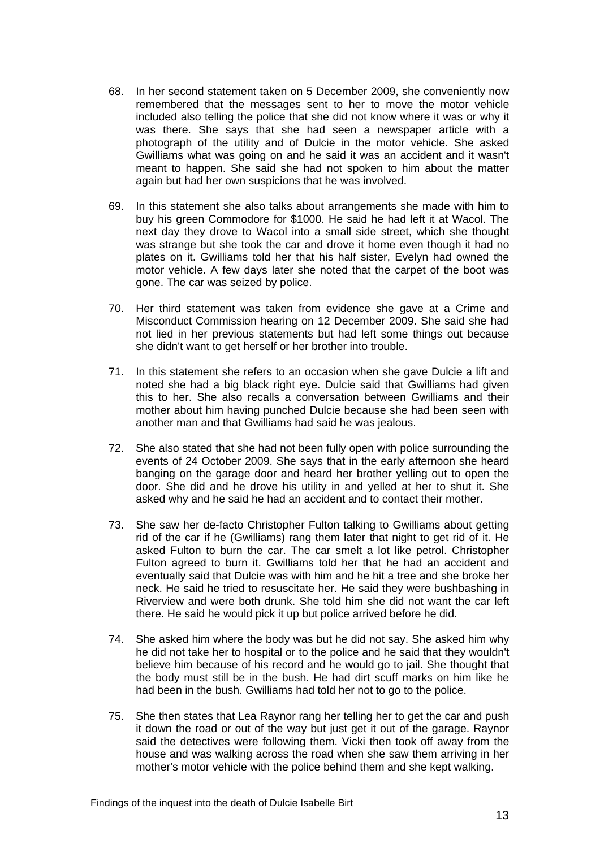- 68. In her second statement taken on 5 December 2009, she conveniently now remembered that the messages sent to her to move the motor vehicle included also telling the police that she did not know where it was or why it was there. She says that she had seen a newspaper article with a photograph of the utility and of Dulcie in the motor vehicle. She asked Gwilliams what was going on and he said it was an accident and it wasn't meant to happen. She said she had not spoken to him about the matter again but had her own suspicions that he was involved.
- 69. In this statement she also talks about arrangements she made with him to buy his green Commodore for \$1000. He said he had left it at Wacol. The next day they drove to Wacol into a small side street, which she thought was strange but she took the car and drove it home even though it had no plates on it. Gwilliams told her that his half sister, Evelyn had owned the motor vehicle. A few days later she noted that the carpet of the boot was gone. The car was seized by police.
- 70. Her third statement was taken from evidence she gave at a Crime and Misconduct Commission hearing on 12 December 2009. She said she had not lied in her previous statements but had left some things out because she didn't want to get herself or her brother into trouble.
- 71. In this statement she refers to an occasion when she gave Dulcie a lift and noted she had a big black right eye. Dulcie said that Gwilliams had given this to her. She also recalls a conversation between Gwilliams and their mother about him having punched Dulcie because she had been seen with another man and that Gwilliams had said he was jealous.
- 72. She also stated that she had not been fully open with police surrounding the events of 24 October 2009. She says that in the early afternoon she heard banging on the garage door and heard her brother yelling out to open the door. She did and he drove his utility in and yelled at her to shut it. She asked why and he said he had an accident and to contact their mother.
- 73. She saw her de-facto Christopher Fulton talking to Gwilliams about getting rid of the car if he (Gwilliams) rang them later that night to get rid of it. He asked Fulton to burn the car. The car smelt a lot like petrol. Christopher Fulton agreed to burn it. Gwilliams told her that he had an accident and eventually said that Dulcie was with him and he hit a tree and she broke her neck. He said he tried to resuscitate her. He said they were bushbashing in Riverview and were both drunk. She told him she did not want the car left there. He said he would pick it up but police arrived before he did.
- 74. She asked him where the body was but he did not say. She asked him why he did not take her to hospital or to the police and he said that they wouldn't believe him because of his record and he would go to jail. She thought that the body must still be in the bush. He had dirt scuff marks on him like he had been in the bush. Gwilliams had told her not to go to the police.
- 75. She then states that Lea Raynor rang her telling her to get the car and push it down the road or out of the way but just get it out of the garage. Raynor said the detectives were following them. Vicki then took off away from the house and was walking across the road when she saw them arriving in her mother's motor vehicle with the police behind them and she kept walking.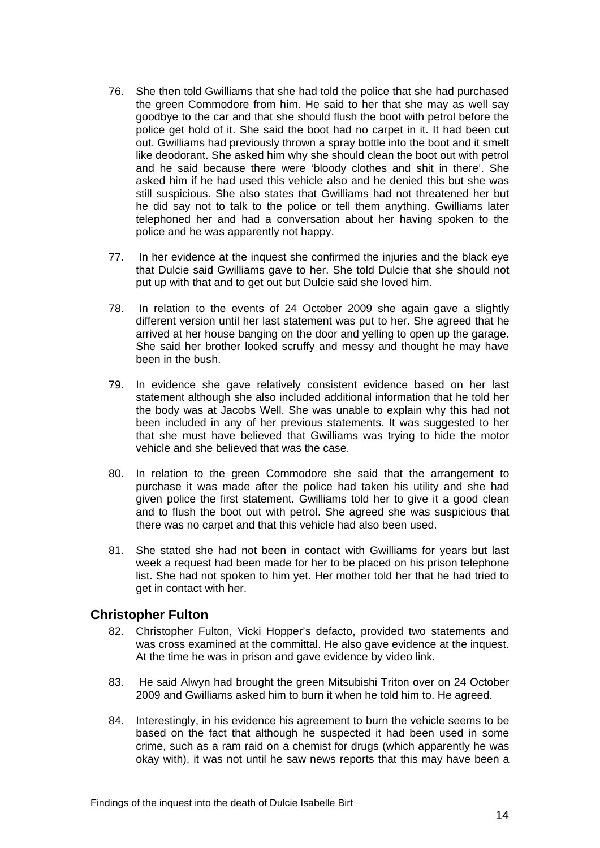- 76. She then told Gwilliams that she had told the police that she had purchased the green Commodore from him. He said to her that she may as well say goodbye to the car and that she should flush the boot with petrol before the police get hold of it. She said the boot had no carpet in it. It had been cut out. Gwilliams had previously thrown a spray bottle into the boot and it smelt like deodorant. She asked him why she should clean the boot out with petrol and he said because there were 'bloody clothes and shit in there'. She asked him if he had used this vehicle also and he denied this but she was still suspicious. She also states that Gwilliams had not threatened her but he did say not to talk to the police or tell them anything. Gwilliams later telephoned her and had a conversation about her having spoken to the police and he was apparently not happy.
- 77. In her evidence at the inquest she confirmed the injuries and the black eye that Dulcie said Gwilliams gave to her. She told Dulcie that she should not put up with that and to get out but Dulcie said she loved him.
- 78. In relation to the events of 24 October 2009 she again gave a slightly different version until her last statement was put to her. She agreed that he arrived at her house banging on the door and yelling to open up the garage. She said her brother looked scruffy and messy and thought he may have been in the bush.
- 79. In evidence she gave relatively consistent evidence based on her last statement although she also included additional information that he told her the body was at Jacobs Well. She was unable to explain why this had not been included in any of her previous statements. It was suggested to her that she must have believed that Gwilliams was trying to hide the motor vehicle and she believed that was the case.
- 80. In relation to the green Commodore she said that the arrangement to purchase it was made after the police had taken his utility and she had given police the first statement. Gwilliams told her to give it a good clean and to flush the boot out with petrol. She agreed she was suspicious that there was no carpet and that this vehicle had also been used.
- 81. She stated she had not been in contact with Gwilliams for years but last week a request had been made for her to be placed on his prison telephone list. She had not spoken to him yet. Her mother told her that he had tried to get in contact with her.

#### <span id="page-15-0"></span>**Christopher Fulton**

- 82. Christopher Fulton, Vicki Hopper's defacto, provided two statements and was cross examined at the committal. He also gave evidence at the inquest. At the time he was in prison and gave evidence by video link.
- 83. He said Alwyn had brought the green Mitsubishi Triton over on 24 October 2009 and Gwilliams asked him to burn it when he told him to. He agreed.
- 84. Interestingly, in his evidence his agreement to burn the vehicle seems to be based on the fact that although he suspected it had been used in some crime, such as a ram raid on a chemist for drugs (which apparently he was okay with), it was not until he saw news reports that this may have been a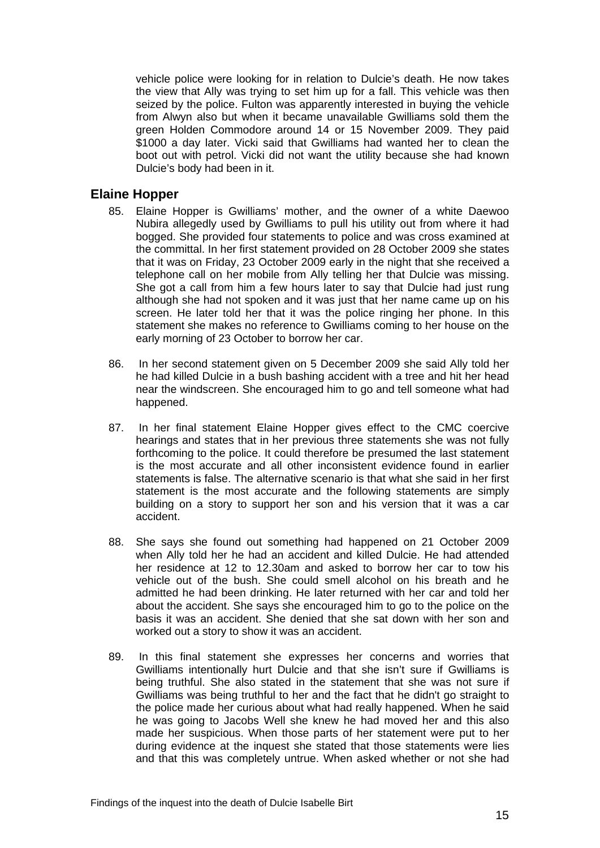vehicle police were looking for in relation to Dulcie's death. He now takes the view that Ally was trying to set him up for a fall. This vehicle was then seized by the police. Fulton was apparently interested in buying the vehicle from Alwyn also but when it became unavailable Gwilliams sold them the green Holden Commodore around 14 or 15 November 2009. They paid \$1000 a day later. Vicki said that Gwilliams had wanted her to clean the boot out with petrol. Vicki did not want the utility because she had known Dulcie's body had been in it.

#### <span id="page-16-0"></span>**Elaine Hopper**

- 85. Elaine Hopper is Gwilliams' mother, and the owner of a white Daewoo Nubira allegedly used by Gwilliams to pull his utility out from where it had bogged. She provided four statements to police and was cross examined at the committal. In her first statement provided on 28 October 2009 she states that it was on Friday, 23 October 2009 early in the night that she received a telephone call on her mobile from Ally telling her that Dulcie was missing. She got a call from him a few hours later to say that Dulcie had just rung although she had not spoken and it was just that her name came up on his screen. He later told her that it was the police ringing her phone. In this statement she makes no reference to Gwilliams coming to her house on the early morning of 23 October to borrow her car.
- 86. In her second statement given on 5 December 2009 she said Ally told her he had killed Dulcie in a bush bashing accident with a tree and hit her head near the windscreen. She encouraged him to go and tell someone what had happened.
- 87. In her final statement Elaine Hopper gives effect to the CMC coercive hearings and states that in her previous three statements she was not fully forthcoming to the police. It could therefore be presumed the last statement is the most accurate and all other inconsistent evidence found in earlier statements is false. The alternative scenario is that what she said in her first statement is the most accurate and the following statements are simply building on a story to support her son and his version that it was a car accident.
- 88. She says she found out something had happened on 21 October 2009 when Ally told her he had an accident and killed Dulcie. He had attended her residence at 12 to 12.30am and asked to borrow her car to tow his vehicle out of the bush. She could smell alcohol on his breath and he admitted he had been drinking. He later returned with her car and told her about the accident. She says she encouraged him to go to the police on the basis it was an accident. She denied that she sat down with her son and worked out a story to show it was an accident.
- 89. In this final statement she expresses her concerns and worries that Gwilliams intentionally hurt Dulcie and that she isn't sure if Gwilliams is being truthful. She also stated in the statement that she was not sure if Gwilliams was being truthful to her and the fact that he didn't go straight to the police made her curious about what had really happened. When he said he was going to Jacobs Well she knew he had moved her and this also made her suspicious. When those parts of her statement were put to her during evidence at the inquest she stated that those statements were lies and that this was completely untrue. When asked whether or not she had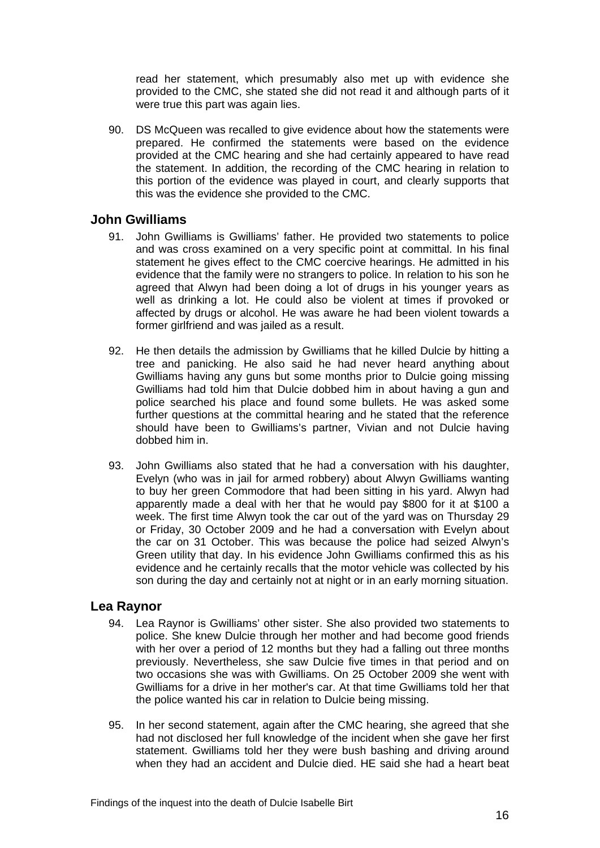read her statement, which presumably also met up with evidence she provided to the CMC, she stated she did not read it and although parts of it were true this part was again lies.

90. DS McQueen was recalled to give evidence about how the statements were prepared. He confirmed the statements were based on the evidence provided at the CMC hearing and she had certainly appeared to have read the statement. In addition, the recording of the CMC hearing in relation to this portion of the evidence was played in court, and clearly supports that this was the evidence she provided to the CMC.

#### <span id="page-17-0"></span>**John Gwilliams**

- 91. John Gwilliams is Gwilliams' father. He provided two statements to police and was cross examined on a very specific point at committal. In his final statement he gives effect to the CMC coercive hearings. He admitted in his evidence that the family were no strangers to police. In relation to his son he agreed that Alwyn had been doing a lot of drugs in his younger years as well as drinking a lot. He could also be violent at times if provoked or affected by drugs or alcohol. He was aware he had been violent towards a former girlfriend and was jailed as a result.
- 92. He then details the admission by Gwilliams that he killed Dulcie by hitting a tree and panicking. He also said he had never heard anything about Gwilliams having any guns but some months prior to Dulcie going missing Gwilliams had told him that Dulcie dobbed him in about having a gun and police searched his place and found some bullets. He was asked some further questions at the committal hearing and he stated that the reference should have been to Gwilliams's partner, Vivian and not Dulcie having dobbed him in.
- 93. John Gwilliams also stated that he had a conversation with his daughter, Evelyn (who was in jail for armed robbery) about Alwyn Gwilliams wanting to buy her green Commodore that had been sitting in his yard. Alwyn had apparently made a deal with her that he would pay \$800 for it at \$100 a week. The first time Alwyn took the car out of the yard was on Thursday 29 or Friday, 30 October 2009 and he had a conversation with Evelyn about the car on 31 October. This was because the police had seized Alwyn's Green utility that day. In his evidence John Gwilliams confirmed this as his evidence and he certainly recalls that the motor vehicle was collected by his son during the day and certainly not at night or in an early morning situation.

#### <span id="page-17-1"></span>**Lea Raynor**

- 94. Lea Raynor is Gwilliams' other sister. She also provided two statements to police. She knew Dulcie through her mother and had become good friends with her over a period of 12 months but they had a falling out three months previously. Nevertheless, she saw Dulcie five times in that period and on two occasions she was with Gwilliams. On 25 October 2009 she went with Gwilliams for a drive in her mother's car. At that time Gwilliams told her that the police wanted his car in relation to Dulcie being missing.
- 95. In her second statement, again after the CMC hearing, she agreed that she had not disclosed her full knowledge of the incident when she gave her first statement. Gwilliams told her they were bush bashing and driving around when they had an accident and Dulcie died. HE said she had a heart beat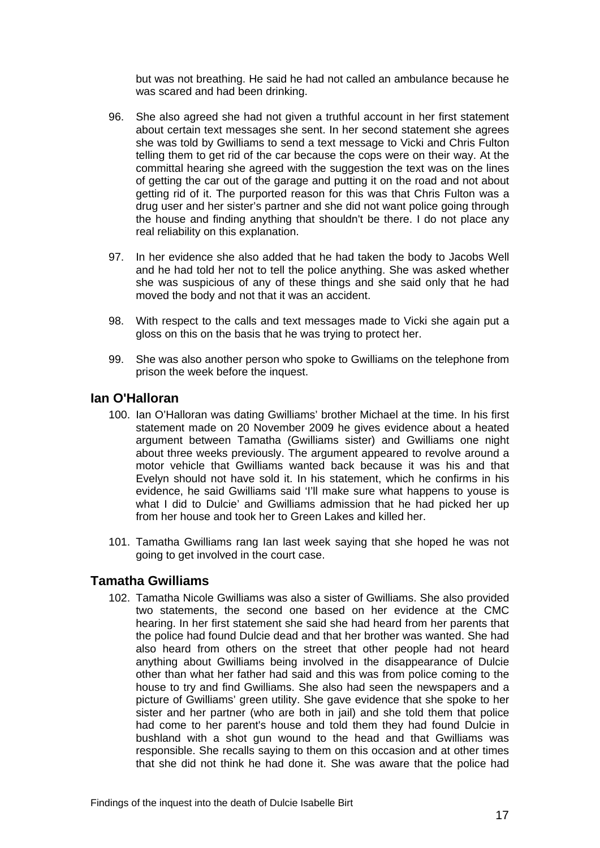but was not breathing. He said he had not called an ambulance because he was scared and had been drinking.

- 96. She also agreed she had not given a truthful account in her first statement about certain text messages she sent. In her second statement she agrees she was told by Gwilliams to send a text message to Vicki and Chris Fulton telling them to get rid of the car because the cops were on their way. At the committal hearing she agreed with the suggestion the text was on the lines of getting the car out of the garage and putting it on the road and not about getting rid of it. The purported reason for this was that Chris Fulton was a drug user and her sister's partner and she did not want police going through the house and finding anything that shouldn't be there. I do not place any real reliability on this explanation.
- 97. In her evidence she also added that he had taken the body to Jacobs Well and he had told her not to tell the police anything. She was asked whether she was suspicious of any of these things and she said only that he had moved the body and not that it was an accident.
- 98. With respect to the calls and text messages made to Vicki she again put a gloss on this on the basis that he was trying to protect her.
- 99. She was also another person who spoke to Gwilliams on the telephone from prison the week before the inquest.

#### <span id="page-18-0"></span>**Ian O'Halloran**

- 100. Ian O'Halloran was dating Gwilliams' brother Michael at the time. In his first statement made on 20 November 2009 he gives evidence about a heated argument between Tamatha (Gwilliams sister) and Gwilliams one night about three weeks previously. The argument appeared to revolve around a motor vehicle that Gwilliams wanted back because it was his and that Evelyn should not have sold it. In his statement, which he confirms in his evidence, he said Gwilliams said 'I'll make sure what happens to youse is what I did to Dulcie' and Gwilliams admission that he had picked her up from her house and took her to Green Lakes and killed her.
- 101. Tamatha Gwilliams rang Ian last week saying that she hoped he was not going to get involved in the court case.

#### <span id="page-18-1"></span>**Tamatha Gwilliams**

102. Tamatha Nicole Gwilliams was also a sister of Gwilliams. She also provided two statements, the second one based on her evidence at the CMC hearing. In her first statement she said she had heard from her parents that the police had found Dulcie dead and that her brother was wanted. She had also heard from others on the street that other people had not heard anything about Gwilliams being involved in the disappearance of Dulcie other than what her father had said and this was from police coming to the house to try and find Gwilliams. She also had seen the newspapers and a picture of Gwilliams' green utility. She gave evidence that she spoke to her sister and her partner (who are both in jail) and she told them that police had come to her parent's house and told them they had found Dulcie in bushland with a shot gun wound to the head and that Gwilliams was responsible. She recalls saying to them on this occasion and at other times that she did not think he had done it. She was aware that the police had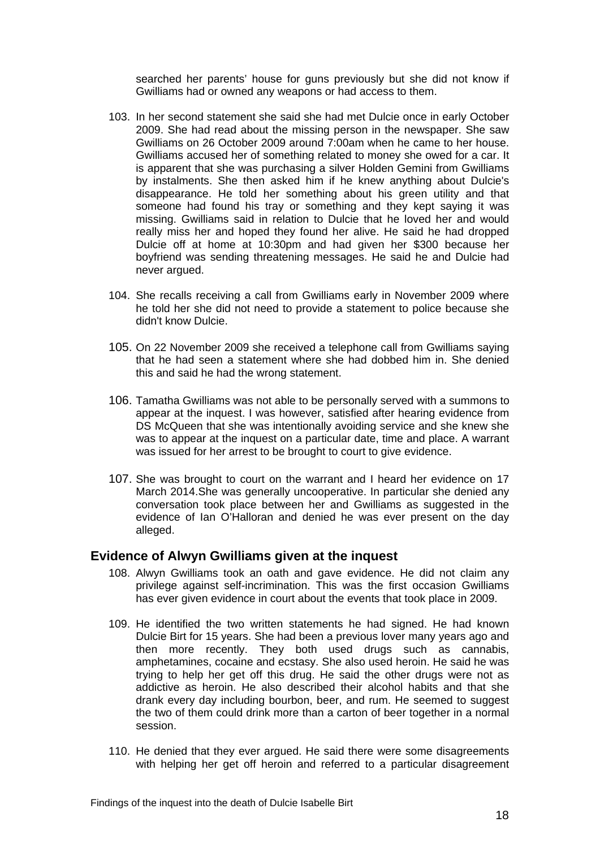searched her parents' house for guns previously but she did not know if Gwilliams had or owned any weapons or had access to them.

- 103. In her second statement she said she had met Dulcie once in early October 2009. She had read about the missing person in the newspaper. She saw Gwilliams on 26 October 2009 around 7:00am when he came to her house. Gwilliams accused her of something related to money she owed for a car. It is apparent that she was purchasing a silver Holden Gemini from Gwilliams by instalments. She then asked him if he knew anything about Dulcie's disappearance. He told her something about his green utility and that someone had found his tray or something and they kept saying it was missing. Gwilliams said in relation to Dulcie that he loved her and would really miss her and hoped they found her alive. He said he had dropped Dulcie off at home at 10:30pm and had given her \$300 because her boyfriend was sending threatening messages. He said he and Dulcie had never argued.
- 104. She recalls receiving a call from Gwilliams early in November 2009 where he told her she did not need to provide a statement to police because she didn't know Dulcie.
- 105. On 22 November 2009 she received a telephone call from Gwilliams saying that he had seen a statement where she had dobbed him in. She denied this and said he had the wrong statement.
- 106. Tamatha Gwilliams was not able to be personally served with a summons to appear at the inquest. I was however, satisfied after hearing evidence from DS McQueen that she was intentionally avoiding service and she knew she was to appear at the inquest on a particular date, time and place. A warrant was issued for her arrest to be brought to court to give evidence.
- 107. She was brought to court on the warrant and I heard her evidence on 17 March 2014.She was generally uncooperative. In particular she denied any conversation took place between her and Gwilliams as suggested in the evidence of Ian O'Halloran and denied he was ever present on the day alleged.

#### <span id="page-19-0"></span>**Evidence of Alwyn Gwilliams given at the inquest**

- 108. Alwyn Gwilliams took an oath and gave evidence. He did not claim any privilege against self-incrimination. This was the first occasion Gwilliams has ever given evidence in court about the events that took place in 2009.
- 109. He identified the two written statements he had signed. He had known Dulcie Birt for 15 years. She had been a previous lover many years ago and then more recently. They both used drugs such as cannabis, amphetamines, cocaine and ecstasy. She also used heroin. He said he was trying to help her get off this drug. He said the other drugs were not as addictive as heroin. He also described their alcohol habits and that she drank every day including bourbon, beer, and rum. He seemed to suggest the two of them could drink more than a carton of beer together in a normal session.
- 110. He denied that they ever argued. He said there were some disagreements with helping her get off heroin and referred to a particular disagreement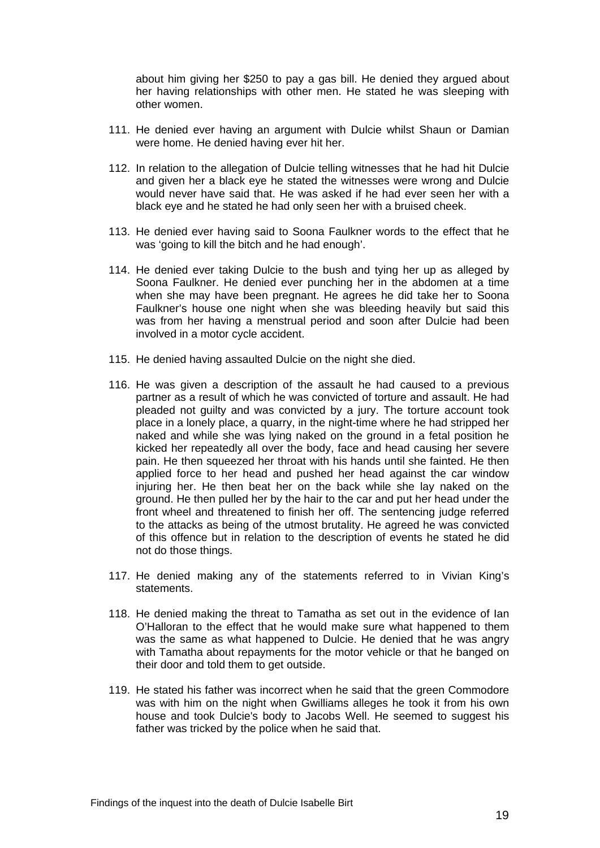about him giving her \$250 to pay a gas bill. He denied they argued about her having relationships with other men. He stated he was sleeping with other women.

- 111. He denied ever having an argument with Dulcie whilst Shaun or Damian were home. He denied having ever hit her.
- 112. In relation to the allegation of Dulcie telling witnesses that he had hit Dulcie and given her a black eye he stated the witnesses were wrong and Dulcie would never have said that. He was asked if he had ever seen her with a black eye and he stated he had only seen her with a bruised cheek.
- 113. He denied ever having said to Soona Faulkner words to the effect that he was 'going to kill the bitch and he had enough'.
- 114. He denied ever taking Dulcie to the bush and tying her up as alleged by Soona Faulkner. He denied ever punching her in the abdomen at a time when she may have been pregnant. He agrees he did take her to Soona Faulkner's house one night when she was bleeding heavily but said this was from her having a menstrual period and soon after Dulcie had been involved in a motor cycle accident.
- 115. He denied having assaulted Dulcie on the night she died.
- 116. He was given a description of the assault he had caused to a previous partner as a result of which he was convicted of torture and assault. He had pleaded not guilty and was convicted by a jury. The torture account took place in a lonely place, a quarry, in the night-time where he had stripped her naked and while she was lying naked on the ground in a fetal position he kicked her repeatedly all over the body, face and head causing her severe pain. He then squeezed her throat with his hands until she fainted. He then applied force to her head and pushed her head against the car window injuring her. He then beat her on the back while she lay naked on the ground. He then pulled her by the hair to the car and put her head under the front wheel and threatened to finish her off. The sentencing judge referred to the attacks as being of the utmost brutality. He agreed he was convicted of this offence but in relation to the description of events he stated he did not do those things.
- 117. He denied making any of the statements referred to in Vivian King's statements.
- 118. He denied making the threat to Tamatha as set out in the evidence of Ian O'Halloran to the effect that he would make sure what happened to them was the same as what happened to Dulcie. He denied that he was angry with Tamatha about repayments for the motor vehicle or that he banged on their door and told them to get outside.
- 119. He stated his father was incorrect when he said that the green Commodore was with him on the night when Gwilliams alleges he took it from his own house and took Dulcie's body to Jacobs Well. He seemed to suggest his father was tricked by the police when he said that.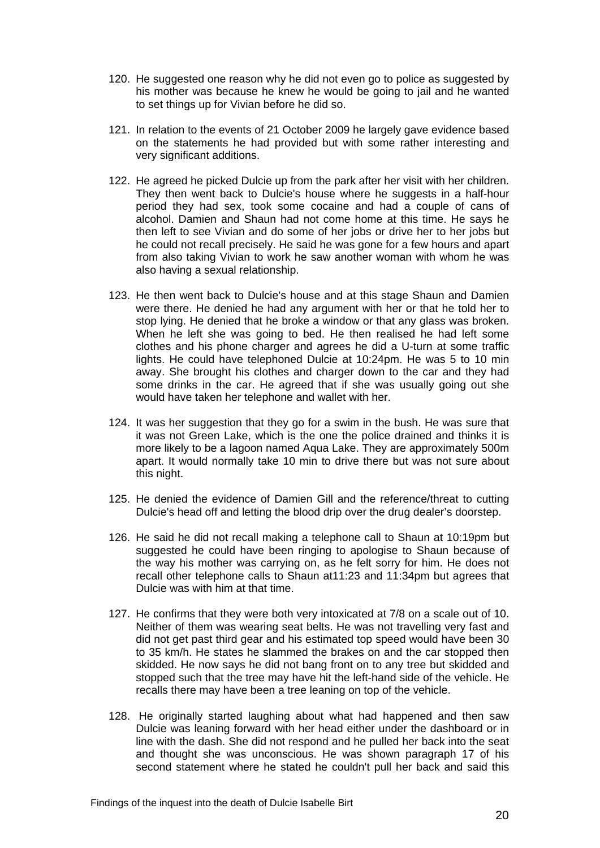- 120. He suggested one reason why he did not even go to police as suggested by his mother was because he knew he would be going to jail and he wanted to set things up for Vivian before he did so.
- 121. In relation to the events of 21 October 2009 he largely gave evidence based on the statements he had provided but with some rather interesting and very significant additions.
- 122. He agreed he picked Dulcie up from the park after her visit with her children. They then went back to Dulcie's house where he suggests in a half-hour period they had sex, took some cocaine and had a couple of cans of alcohol. Damien and Shaun had not come home at this time. He says he then left to see Vivian and do some of her jobs or drive her to her jobs but he could not recall precisely. He said he was gone for a few hours and apart from also taking Vivian to work he saw another woman with whom he was also having a sexual relationship.
- 123. He then went back to Dulcie's house and at this stage Shaun and Damien were there. He denied he had any argument with her or that he told her to stop lying. He denied that he broke a window or that any glass was broken. When he left she was going to bed. He then realised he had left some clothes and his phone charger and agrees he did a U-turn at some traffic lights. He could have telephoned Dulcie at 10:24pm. He was 5 to 10 min away. She brought his clothes and charger down to the car and they had some drinks in the car. He agreed that if she was usually going out she would have taken her telephone and wallet with her.
- 124. It was her suggestion that they go for a swim in the bush. He was sure that it was not Green Lake, which is the one the police drained and thinks it is more likely to be a lagoon named Aqua Lake. They are approximately 500m apart. It would normally take 10 min to drive there but was not sure about this night.
- 125. He denied the evidence of Damien Gill and the reference/threat to cutting Dulcie's head off and letting the blood drip over the drug dealer's doorstep.
- 126. He said he did not recall making a telephone call to Shaun at 10:19pm but suggested he could have been ringing to apologise to Shaun because of the way his mother was carrying on, as he felt sorry for him. He does not recall other telephone calls to Shaun at11:23 and 11:34pm but agrees that Dulcie was with him at that time.
- 127. He confirms that they were both very intoxicated at 7/8 on a scale out of 10. Neither of them was wearing seat belts. He was not travelling very fast and did not get past third gear and his estimated top speed would have been 30 to 35 km/h. He states he slammed the brakes on and the car stopped then skidded. He now says he did not bang front on to any tree but skidded and stopped such that the tree may have hit the left-hand side of the vehicle. He recalls there may have been a tree leaning on top of the vehicle.
- 128. He originally started laughing about what had happened and then saw Dulcie was leaning forward with her head either under the dashboard or in line with the dash. She did not respond and he pulled her back into the seat and thought she was unconscious. He was shown paragraph 17 of his second statement where he stated he couldn't pull her back and said this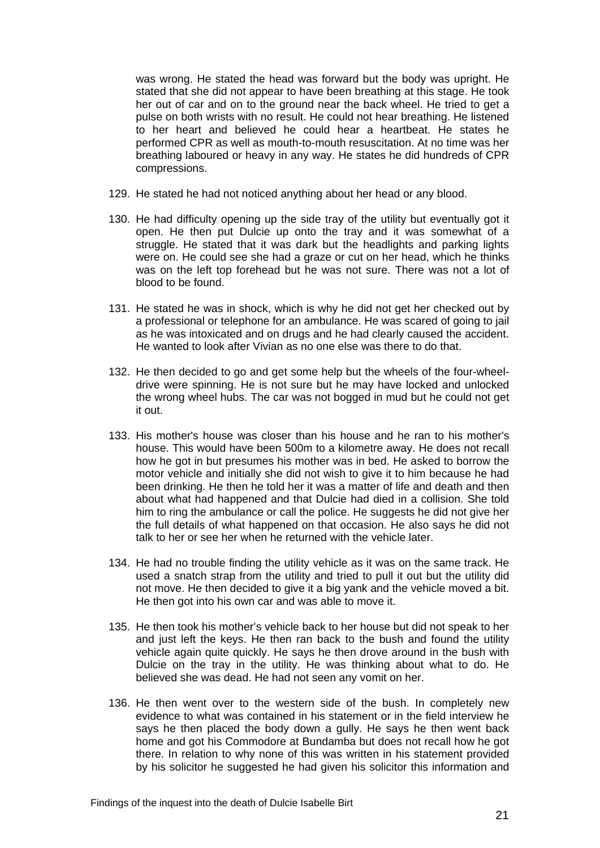was wrong. He stated the head was forward but the body was upright. He stated that she did not appear to have been breathing at this stage. He took her out of car and on to the ground near the back wheel. He tried to get a pulse on both wrists with no result. He could not hear breathing. He listened to her heart and believed he could hear a heartbeat. He states he performed CPR as well as mouth-to-mouth resuscitation. At no time was her breathing laboured or heavy in any way. He states he did hundreds of CPR compressions.

- 129. He stated he had not noticed anything about her head or any blood.
- 130. He had difficulty opening up the side tray of the utility but eventually got it open. He then put Dulcie up onto the tray and it was somewhat of a struggle. He stated that it was dark but the headlights and parking lights were on. He could see she had a graze or cut on her head, which he thinks was on the left top forehead but he was not sure. There was not a lot of blood to be found.
- 131. He stated he was in shock, which is why he did not get her checked out by a professional or telephone for an ambulance. He was scared of going to jail as he was intoxicated and on drugs and he had clearly caused the accident. He wanted to look after Vivian as no one else was there to do that.
- 132. He then decided to go and get some help but the wheels of the four-wheeldrive were spinning. He is not sure but he may have locked and unlocked the wrong wheel hubs. The car was not bogged in mud but he could not get it out.
- 133. His mother's house was closer than his house and he ran to his mother's house. This would have been 500m to a kilometre away. He does not recall how he got in but presumes his mother was in bed. He asked to borrow the motor vehicle and initially she did not wish to give it to him because he had been drinking. He then he told her it was a matter of life and death and then about what had happened and that Dulcie had died in a collision. She told him to ring the ambulance or call the police. He suggests he did not give her the full details of what happened on that occasion. He also says he did not talk to her or see her when he returned with the vehicle later.
- 134. He had no trouble finding the utility vehicle as it was on the same track. He used a snatch strap from the utility and tried to pull it out but the utility did not move. He then decided to give it a big yank and the vehicle moved a bit. He then got into his own car and was able to move it.
- 135. He then took his mother's vehicle back to her house but did not speak to her and just left the keys. He then ran back to the bush and found the utility vehicle again quite quickly. He says he then drove around in the bush with Dulcie on the tray in the utility. He was thinking about what to do. He believed she was dead. He had not seen any vomit on her.
- 136. He then went over to the western side of the bush. In completely new evidence to what was contained in his statement or in the field interview he says he then placed the body down a gully. He says he then went back home and got his Commodore at Bundamba but does not recall how he got there. In relation to why none of this was written in his statement provided by his solicitor he suggested he had given his solicitor this information and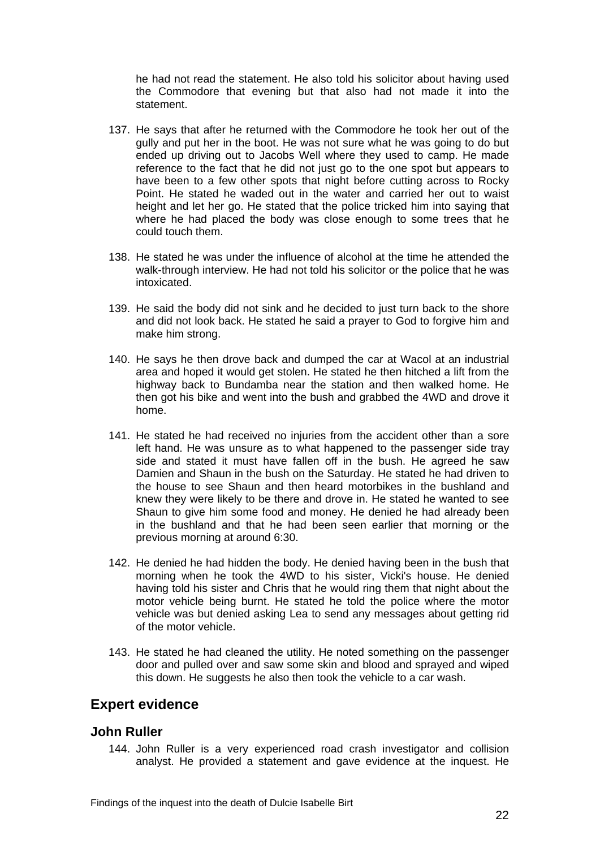he had not read the statement. He also told his solicitor about having used the Commodore that evening but that also had not made it into the statement.

- 137. He says that after he returned with the Commodore he took her out of the gully and put her in the boot. He was not sure what he was going to do but ended up driving out to Jacobs Well where they used to camp. He made reference to the fact that he did not just go to the one spot but appears to have been to a few other spots that night before cutting across to Rocky Point. He stated he waded out in the water and carried her out to waist height and let her go. He stated that the police tricked him into saying that where he had placed the body was close enough to some trees that he could touch them.
- 138. He stated he was under the influence of alcohol at the time he attended the walk-through interview. He had not told his solicitor or the police that he was intoxicated.
- 139. He said the body did not sink and he decided to just turn back to the shore and did not look back. He stated he said a prayer to God to forgive him and make him strong.
- 140. He says he then drove back and dumped the car at Wacol at an industrial area and hoped it would get stolen. He stated he then hitched a lift from the highway back to Bundamba near the station and then walked home. He then got his bike and went into the bush and grabbed the 4WD and drove it home.
- 141. He stated he had received no injuries from the accident other than a sore left hand. He was unsure as to what happened to the passenger side tray side and stated it must have fallen off in the bush. He agreed he saw Damien and Shaun in the bush on the Saturday. He stated he had driven to the house to see Shaun and then heard motorbikes in the bushland and knew they were likely to be there and drove in. He stated he wanted to see Shaun to give him some food and money. He denied he had already been in the bushland and that he had been seen earlier that morning or the previous morning at around 6:30.
- 142. He denied he had hidden the body. He denied having been in the bush that morning when he took the 4WD to his sister, Vicki's house. He denied having told his sister and Chris that he would ring them that night about the motor vehicle being burnt. He stated he told the police where the motor vehicle was but denied asking Lea to send any messages about getting rid of the motor vehicle.
- 143. He stated he had cleaned the utility. He noted something on the passenger door and pulled over and saw some skin and blood and sprayed and wiped this down. He suggests he also then took the vehicle to a car wash.

# <span id="page-23-0"></span>**Expert evidence**

#### <span id="page-23-1"></span>**John Ruller**

144. John Ruller is a very experienced road crash investigator and collision analyst. He provided a statement and gave evidence at the inquest. He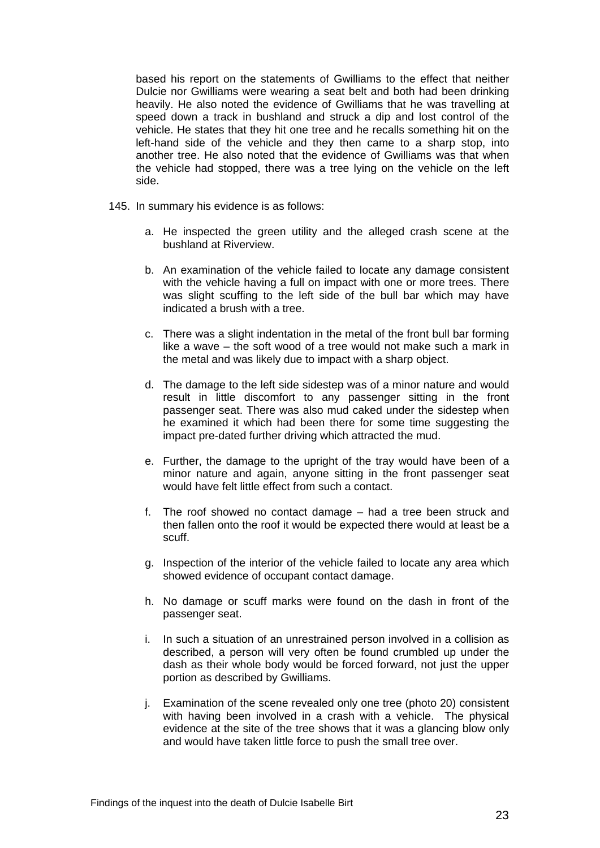based his report on the statements of Gwilliams to the effect that neither Dulcie nor Gwilliams were wearing a seat belt and both had been drinking heavily. He also noted the evidence of Gwilliams that he was travelling at speed down a track in bushland and struck a dip and lost control of the vehicle. He states that they hit one tree and he recalls something hit on the left-hand side of the vehicle and they then came to a sharp stop, into another tree. He also noted that the evidence of Gwilliams was that when the vehicle had stopped, there was a tree lying on the vehicle on the left side.

- 145. In summary his evidence is as follows:
	- a. He inspected the green utility and the alleged crash scene at the bushland at Riverview.
	- b. An examination of the vehicle failed to locate any damage consistent with the vehicle having a full on impact with one or more trees. There was slight scuffing to the left side of the bull bar which may have indicated a brush with a tree.
	- c. There was a slight indentation in the metal of the front bull bar forming like a wave – the soft wood of a tree would not make such a mark in the metal and was likely due to impact with a sharp object.
	- d. The damage to the left side sidestep was of a minor nature and would result in little discomfort to any passenger sitting in the front passenger seat. There was also mud caked under the sidestep when he examined it which had been there for some time suggesting the impact pre-dated further driving which attracted the mud.
	- e. Further, the damage to the upright of the tray would have been of a minor nature and again, anyone sitting in the front passenger seat would have felt little effect from such a contact.
	- f. The roof showed no contact damage had a tree been struck and then fallen onto the roof it would be expected there would at least be a scuff.
	- g. Inspection of the interior of the vehicle failed to locate any area which showed evidence of occupant contact damage.
	- h. No damage or scuff marks were found on the dash in front of the passenger seat.
	- i. In such a situation of an unrestrained person involved in a collision as described, a person will very often be found crumbled up under the dash as their whole body would be forced forward, not just the upper portion as described by Gwilliams.
	- j. Examination of the scene revealed only one tree (photo 20) consistent with having been involved in a crash with a vehicle. The physical evidence at the site of the tree shows that it was a glancing blow only and would have taken little force to push the small tree over.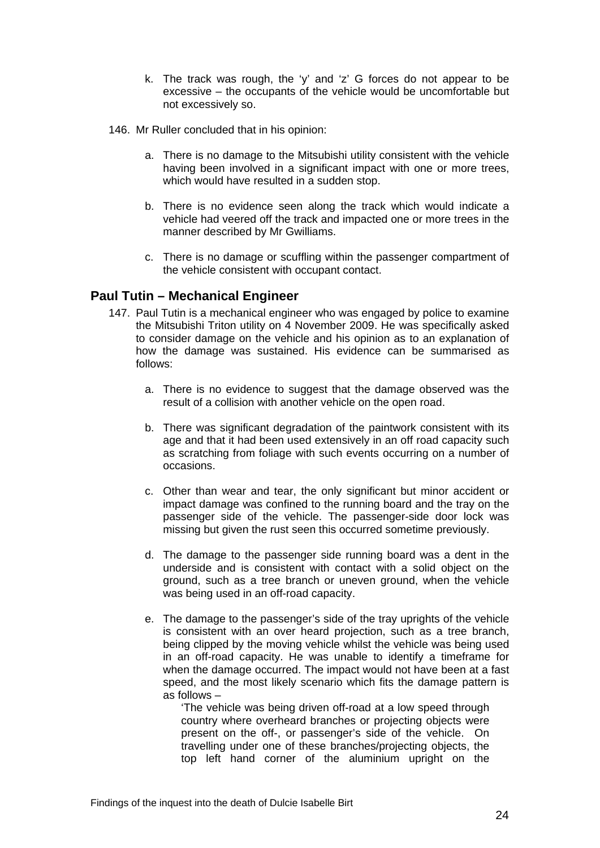- k. The track was rough, the 'y' and 'z' G forces do not appear to be excessive – the occupants of the vehicle would be uncomfortable but not excessively so.
- 146. Mr Ruller concluded that in his opinion:
	- a. There is no damage to the Mitsubishi utility consistent with the vehicle having been involved in a significant impact with one or more trees, which would have resulted in a sudden stop.
	- b. There is no evidence seen along the track which would indicate a vehicle had veered off the track and impacted one or more trees in the manner described by Mr Gwilliams.
	- c. There is no damage or scuffling within the passenger compartment of the vehicle consistent with occupant contact.

#### <span id="page-25-0"></span>**Paul Tutin – Mechanical Engineer**

- 147. Paul Tutin is a mechanical engineer who was engaged by police to examine the Mitsubishi Triton utility on 4 November 2009. He was specifically asked to consider damage on the vehicle and his opinion as to an explanation of how the damage was sustained. His evidence can be summarised as follows:
	- a. There is no evidence to suggest that the damage observed was the result of a collision with another vehicle on the open road.
	- b. There was significant degradation of the paintwork consistent with its age and that it had been used extensively in an off road capacity such as scratching from foliage with such events occurring on a number of occasions.
	- c. Other than wear and tear, the only significant but minor accident or impact damage was confined to the running board and the tray on the passenger side of the vehicle. The passenger-side door lock was missing but given the rust seen this occurred sometime previously.
	- d. The damage to the passenger side running board was a dent in the underside and is consistent with contact with a solid object on the ground, such as a tree branch or uneven ground, when the vehicle was being used in an off-road capacity.
	- e. The damage to the passenger's side of the tray uprights of the vehicle is consistent with an over heard projection, such as a tree branch, being clipped by the moving vehicle whilst the vehicle was being used in an off-road capacity. He was unable to identify a timeframe for when the damage occurred. The impact would not have been at a fast speed, and the most likely scenario which fits the damage pattern is as follows –

'The vehicle was being driven off-road at a low speed through country where overheard branches or projecting objects were present on the off-, or passenger's side of the vehicle. On travelling under one of these branches/projecting objects, the top left hand corner of the aluminium upright on the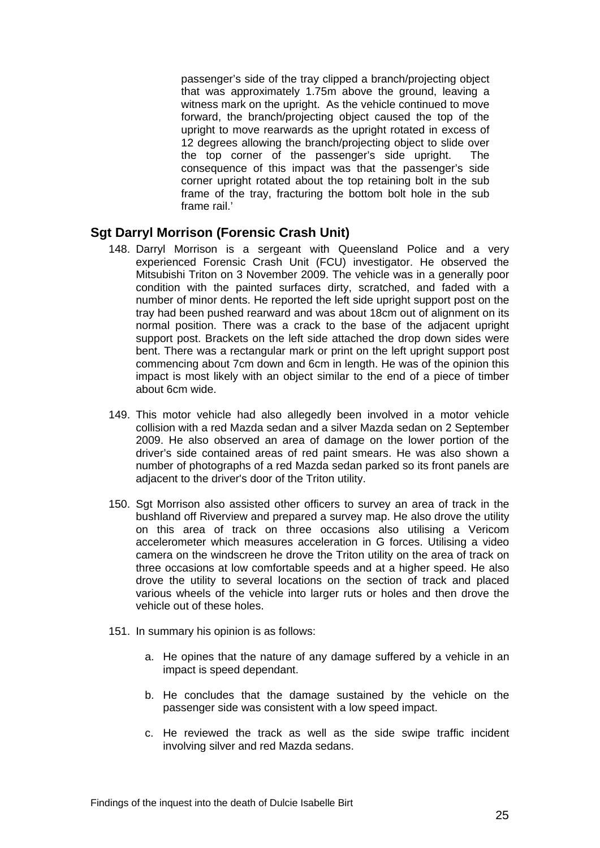passenger's side of the tray clipped a branch/projecting object that was approximately 1.75m above the ground, leaving a witness mark on the upright. As the vehicle continued to move forward, the branch/projecting object caused the top of the upright to move rearwards as the upright rotated in excess of 12 degrees allowing the branch/projecting object to slide over the top corner of the passenger's side upright. The consequence of this impact was that the passenger's side corner upright rotated about the top retaining bolt in the sub frame of the tray, fracturing the bottom bolt hole in the sub frame rail<sup>'</sup>

#### <span id="page-26-0"></span>**Sgt Darryl Morrison (Forensic Crash Unit)**

- 148. Darryl Morrison is a sergeant with Queensland Police and a very experienced Forensic Crash Unit (FCU) investigator. He observed the Mitsubishi Triton on 3 November 2009. The vehicle was in a generally poor condition with the painted surfaces dirty, scratched, and faded with a number of minor dents. He reported the left side upright support post on the tray had been pushed rearward and was about 18cm out of alignment on its normal position. There was a crack to the base of the adjacent upright support post. Brackets on the left side attached the drop down sides were bent. There was a rectangular mark or print on the left upright support post commencing about 7cm down and 6cm in length. He was of the opinion this impact is most likely with an object similar to the end of a piece of timber about 6cm wide.
- 149. This motor vehicle had also allegedly been involved in a motor vehicle collision with a red Mazda sedan and a silver Mazda sedan on 2 September 2009. He also observed an area of damage on the lower portion of the driver's side contained areas of red paint smears. He was also shown a number of photographs of a red Mazda sedan parked so its front panels are adjacent to the driver's door of the Triton utility.
- 150. Sgt Morrison also assisted other officers to survey an area of track in the bushland off Riverview and prepared a survey map. He also drove the utility on this area of track on three occasions also utilising a Vericom accelerometer which measures acceleration in G forces. Utilising a video camera on the windscreen he drove the Triton utility on the area of track on three occasions at low comfortable speeds and at a higher speed. He also drove the utility to several locations on the section of track and placed various wheels of the vehicle into larger ruts or holes and then drove the vehicle out of these holes.
- 151. In summary his opinion is as follows:
	- a. He opines that the nature of any damage suffered by a vehicle in an impact is speed dependant.
	- b. He concludes that the damage sustained by the vehicle on the passenger side was consistent with a low speed impact.
	- c. He reviewed the track as well as the side swipe traffic incident involving silver and red Mazda sedans.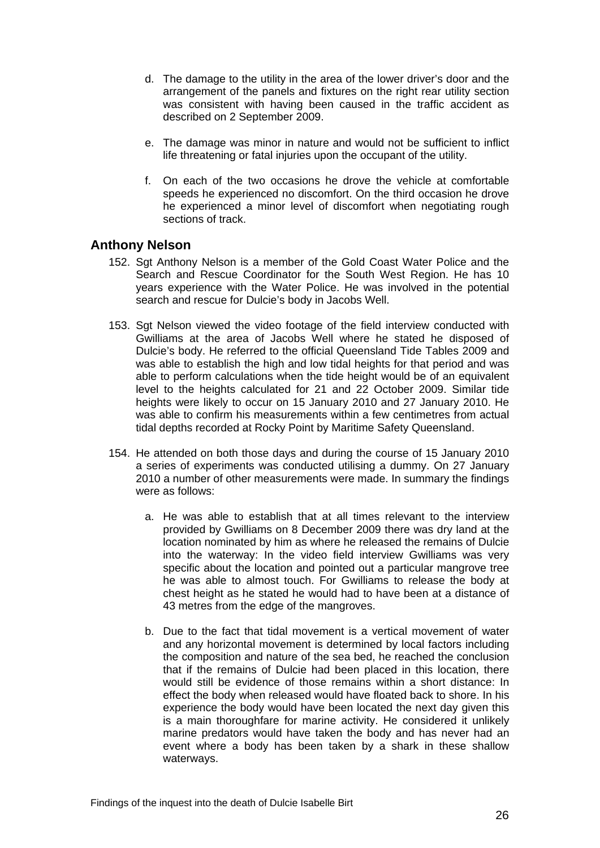- d. The damage to the utility in the area of the lower driver's door and the arrangement of the panels and fixtures on the right rear utility section was consistent with having been caused in the traffic accident as described on 2 September 2009.
- e. The damage was minor in nature and would not be sufficient to inflict life threatening or fatal injuries upon the occupant of the utility.
- f. On each of the two occasions he drove the vehicle at comfortable speeds he experienced no discomfort. On the third occasion he drove he experienced a minor level of discomfort when negotiating rough sections of track.

#### <span id="page-27-0"></span>**Anthony Nelson**

- 152. Sgt Anthony Nelson is a member of the Gold Coast Water Police and the Search and Rescue Coordinator for the South West Region. He has 10 years experience with the Water Police. He was involved in the potential search and rescue for Dulcie's body in Jacobs Well.
- 153. Sgt Nelson viewed the video footage of the field interview conducted with Gwilliams at the area of Jacobs Well where he stated he disposed of Dulcie's body. He referred to the official Queensland Tide Tables 2009 and was able to establish the high and low tidal heights for that period and was able to perform calculations when the tide height would be of an equivalent level to the heights calculated for 21 and 22 October 2009. Similar tide heights were likely to occur on 15 January 2010 and 27 January 2010. He was able to confirm his measurements within a few centimetres from actual tidal depths recorded at Rocky Point by Maritime Safety Queensland.
- 154. He attended on both those days and during the course of 15 January 2010 a series of experiments was conducted utilising a dummy. On 27 January 2010 a number of other measurements were made. In summary the findings were as follows:
	- a. He was able to establish that at all times relevant to the interview provided by Gwilliams on 8 December 2009 there was dry land at the location nominated by him as where he released the remains of Dulcie into the waterway: In the video field interview Gwilliams was very specific about the location and pointed out a particular mangrove tree he was able to almost touch. For Gwilliams to release the body at chest height as he stated he would had to have been at a distance of 43 metres from the edge of the mangroves.
	- b. Due to the fact that tidal movement is a vertical movement of water and any horizontal movement is determined by local factors including the composition and nature of the sea bed, he reached the conclusion that if the remains of Dulcie had been placed in this location, there would still be evidence of those remains within a short distance: In effect the body when released would have floated back to shore. In his experience the body would have been located the next day given this is a main thoroughfare for marine activity. He considered it unlikely marine predators would have taken the body and has never had an event where a body has been taken by a shark in these shallow waterways.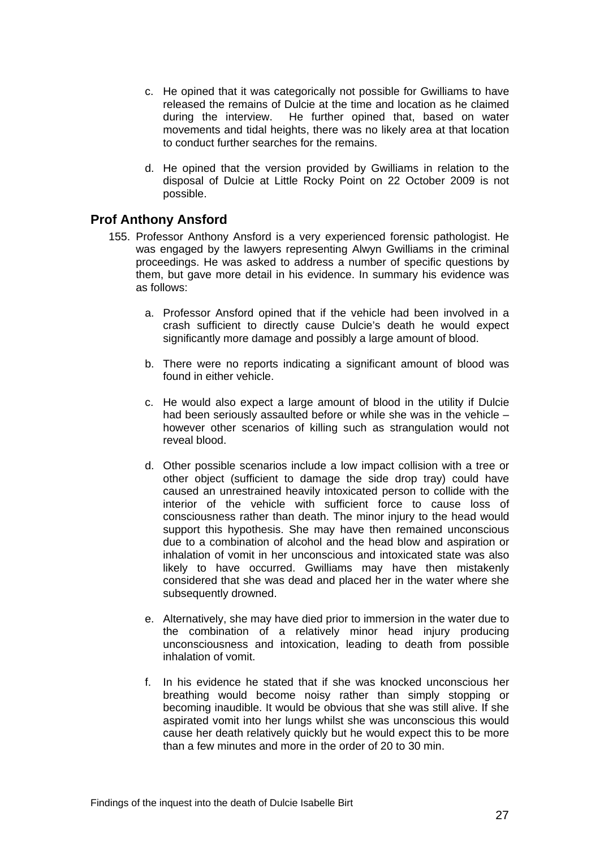- c. He opined that it was categorically not possible for Gwilliams to have released the remains of Dulcie at the time and location as he claimed during the interview. He further opined that, based on water movements and tidal heights, there was no likely area at that location to conduct further searches for the remains.
- d. He opined that the version provided by Gwilliams in relation to the disposal of Dulcie at Little Rocky Point on 22 October 2009 is not possible.

#### <span id="page-28-0"></span>**Prof Anthony Ansford**

- 155. Professor Anthony Ansford is a very experienced forensic pathologist. He was engaged by the lawyers representing Alwyn Gwilliams in the criminal proceedings. He was asked to address a number of specific questions by them, but gave more detail in his evidence. In summary his evidence was as follows:
	- a. Professor Ansford opined that if the vehicle had been involved in a crash sufficient to directly cause Dulcie's death he would expect significantly more damage and possibly a large amount of blood.
	- b. There were no reports indicating a significant amount of blood was found in either vehicle.
	- c. He would also expect a large amount of blood in the utility if Dulcie had been seriously assaulted before or while she was in the vehicle – however other scenarios of killing such as strangulation would not reveal blood.
	- d. Other possible scenarios include a low impact collision with a tree or other object (sufficient to damage the side drop tray) could have caused an unrestrained heavily intoxicated person to collide with the interior of the vehicle with sufficient force to cause loss of consciousness rather than death. The minor injury to the head would support this hypothesis. She may have then remained unconscious due to a combination of alcohol and the head blow and aspiration or inhalation of vomit in her unconscious and intoxicated state was also likely to have occurred. Gwilliams may have then mistakenly considered that she was dead and placed her in the water where she subsequently drowned.
	- e. Alternatively, she may have died prior to immersion in the water due to the combination of a relatively minor head injury producing unconsciousness and intoxication, leading to death from possible inhalation of vomit.
	- f. In his evidence he stated that if she was knocked unconscious her breathing would become noisy rather than simply stopping or becoming inaudible. It would be obvious that she was still alive. If she aspirated vomit into her lungs whilst she was unconscious this would cause her death relatively quickly but he would expect this to be more than a few minutes and more in the order of 20 to 30 min.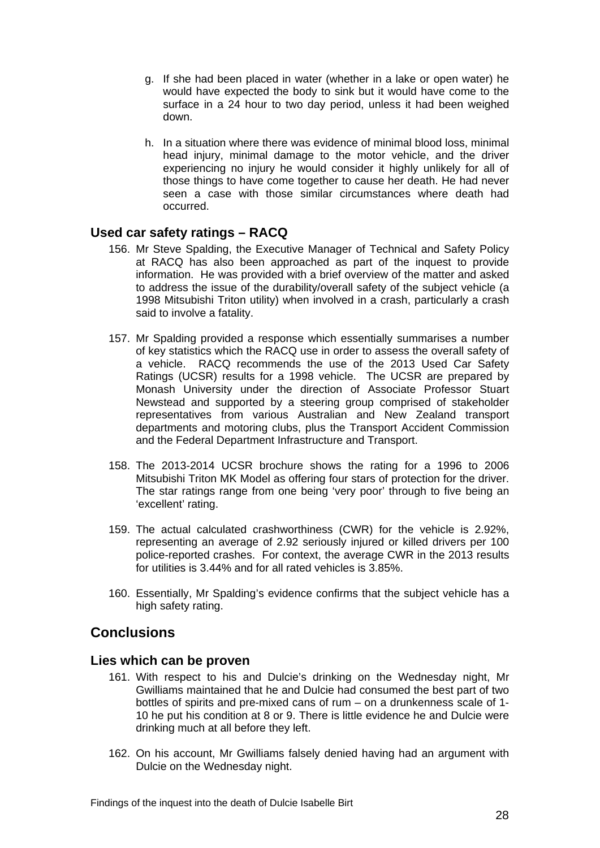- g. If she had been placed in water (whether in a lake or open water) he would have expected the body to sink but it would have come to the surface in a 24 hour to two day period, unless it had been weighed down.
- h. In a situation where there was evidence of minimal blood loss, minimal head injury, minimal damage to the motor vehicle, and the driver experiencing no injury he would consider it highly unlikely for all of those things to have come together to cause her death. He had never seen a case with those similar circumstances where death had occurred.

#### <span id="page-29-0"></span>**Used car safety ratings – RACQ**

- 156. Mr Steve Spalding, the Executive Manager of Technical and Safety Policy at RACQ has also been approached as part of the inquest to provide information. He was provided with a brief overview of the matter and asked to address the issue of the durability/overall safety of the subject vehicle (a 1998 Mitsubishi Triton utility) when involved in a crash, particularly a crash said to involve a fatality.
- 157. Mr Spalding provided a response which essentially summarises a number of key statistics which the RACQ use in order to assess the overall safety of a vehicle. RACQ recommends the use of the 2013 Used Car Safety Ratings (UCSR) results for a 1998 vehicle. The UCSR are prepared by Monash University under the direction of Associate Professor Stuart Newstead and supported by a steering group comprised of stakeholder representatives from various Australian and New Zealand transport departments and motoring clubs, plus the Transport Accident Commission and the Federal Department Infrastructure and Transport.
- 158. The 2013-2014 UCSR brochure shows the rating for a 1996 to 2006 Mitsubishi Triton MK Model as offering four stars of protection for the driver. The star ratings range from one being 'very poor' through to five being an 'excellent' rating.
- 159. The actual calculated crashworthiness (CWR) for the vehicle is 2.92%, representing an average of 2.92 seriously injured or killed drivers per 100 police-reported crashes. For context, the average CWR in the 2013 results for utilities is 3.44% and for all rated vehicles is 3.85%.
- 160. Essentially, Mr Spalding's evidence confirms that the subject vehicle has a high safety rating.

# <span id="page-29-1"></span>**Conclusions**

#### <span id="page-29-2"></span>**Lies which can be proven**

- 161. With respect to his and Dulcie's drinking on the Wednesday night, Mr Gwilliams maintained that he and Dulcie had consumed the best part of two bottles of spirits and pre-mixed cans of rum – on a drunkenness scale of 1- 10 he put his condition at 8 or 9. There is little evidence he and Dulcie were drinking much at all before they left.
- 162. On his account, Mr Gwilliams falsely denied having had an argument with Dulcie on the Wednesday night.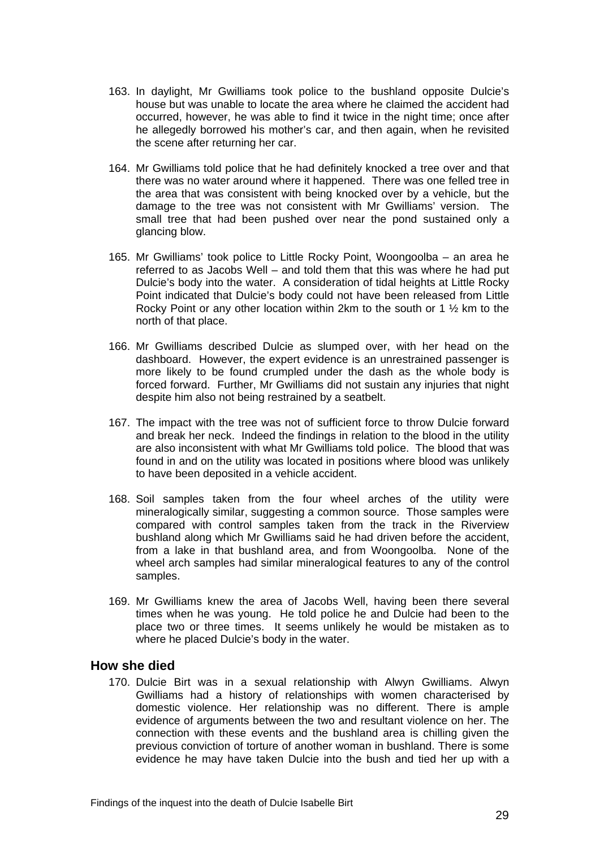- 163. In daylight, Mr Gwilliams took police to the bushland opposite Dulcie's house but was unable to locate the area where he claimed the accident had occurred, however, he was able to find it twice in the night time; once after he allegedly borrowed his mother's car, and then again, when he revisited the scene after returning her car.
- 164. Mr Gwilliams told police that he had definitely knocked a tree over and that there was no water around where it happened. There was one felled tree in the area that was consistent with being knocked over by a vehicle, but the damage to the tree was not consistent with Mr Gwilliams' version. The small tree that had been pushed over near the pond sustained only a glancing blow.
- 165. Mr Gwilliams' took police to Little Rocky Point, Woongoolba an area he referred to as Jacobs Well – and told them that this was where he had put Dulcie's body into the water. A consideration of tidal heights at Little Rocky Point indicated that Dulcie's body could not have been released from Little Rocky Point or any other location within 2km to the south or 1  $\frac{1}{2}$  km to the north of that place.
- 166. Mr Gwilliams described Dulcie as slumped over, with her head on the dashboard. However, the expert evidence is an unrestrained passenger is more likely to be found crumpled under the dash as the whole body is forced forward. Further, Mr Gwilliams did not sustain any injuries that night despite him also not being restrained by a seatbelt.
- 167. The impact with the tree was not of sufficient force to throw Dulcie forward and break her neck. Indeed the findings in relation to the blood in the utility are also inconsistent with what Mr Gwilliams told police. The blood that was found in and on the utility was located in positions where blood was unlikely to have been deposited in a vehicle accident.
- 168. Soil samples taken from the four wheel arches of the utility were mineralogically similar, suggesting a common source. Those samples were compared with control samples taken from the track in the Riverview bushland along which Mr Gwilliams said he had driven before the accident, from a lake in that bushland area, and from Woongoolba. None of the wheel arch samples had similar mineralogical features to any of the control samples.
- 169. Mr Gwilliams knew the area of Jacobs Well, having been there several times when he was young. He told police he and Dulcie had been to the place two or three times. It seems unlikely he would be mistaken as to where he placed Dulcie's body in the water.

#### <span id="page-30-0"></span>**How she died**

170. Dulcie Birt was in a sexual relationship with Alwyn Gwilliams. Alwyn Gwilliams had a history of relationships with women characterised by domestic violence. Her relationship was no different. There is ample evidence of arguments between the two and resultant violence on her. The connection with these events and the bushland area is chilling given the previous conviction of torture of another woman in bushland. There is some evidence he may have taken Dulcie into the bush and tied her up with a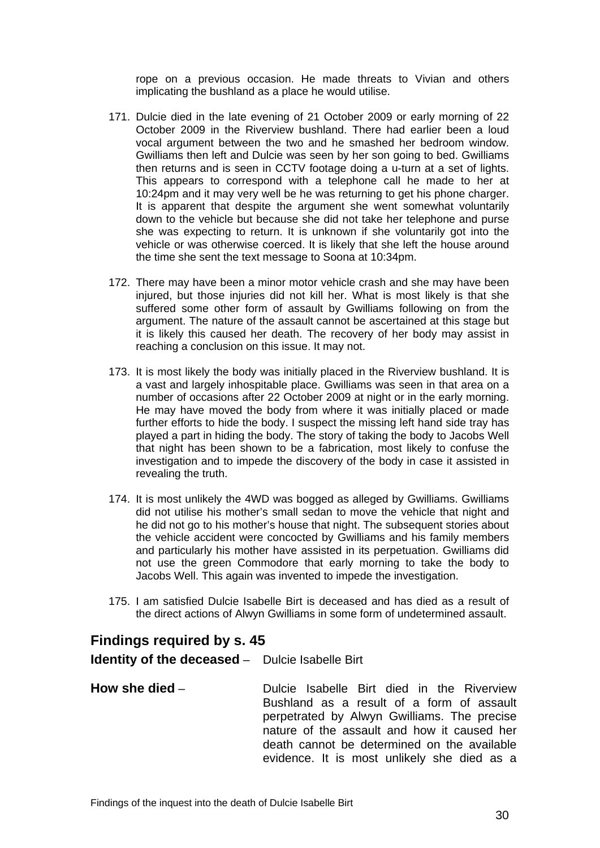rope on a previous occasion. He made threats to Vivian and others implicating the bushland as a place he would utilise.

- 171. Dulcie died in the late evening of 21 October 2009 or early morning of 22 October 2009 in the Riverview bushland. There had earlier been a loud vocal argument between the two and he smashed her bedroom window. Gwilliams then left and Dulcie was seen by her son going to bed. Gwilliams then returns and is seen in CCTV footage doing a u-turn at a set of lights. This appears to correspond with a telephone call he made to her at 10:24pm and it may very well be he was returning to get his phone charger. It is apparent that despite the argument she went somewhat voluntarily down to the vehicle but because she did not take her telephone and purse she was expecting to return. It is unknown if she voluntarily got into the vehicle or was otherwise coerced. It is likely that she left the house around the time she sent the text message to Soona at 10:34pm.
- 172. There may have been a minor motor vehicle crash and she may have been injured, but those injuries did not kill her. What is most likely is that she suffered some other form of assault by Gwilliams following on from the argument. The nature of the assault cannot be ascertained at this stage but it is likely this caused her death. The recovery of her body may assist in reaching a conclusion on this issue. It may not.
- 173. It is most likely the body was initially placed in the Riverview bushland. It is a vast and largely inhospitable place. Gwilliams was seen in that area on a number of occasions after 22 October 2009 at night or in the early morning. He may have moved the body from where it was initially placed or made further efforts to hide the body. I suspect the missing left hand side tray has played a part in hiding the body. The story of taking the body to Jacobs Well that night has been shown to be a fabrication, most likely to confuse the investigation and to impede the discovery of the body in case it assisted in revealing the truth.
- 174. It is most unlikely the 4WD was bogged as alleged by Gwilliams. Gwilliams did not utilise his mother's small sedan to move the vehicle that night and he did not go to his mother's house that night. The subsequent stories about the vehicle accident were concocted by Gwilliams and his family members and particularly his mother have assisted in its perpetuation. Gwilliams did not use the green Commodore that early morning to take the body to Jacobs Well. This again was invented to impede the investigation.
- 175. I am satisfied Dulcie Isabelle Birt is deceased and has died as a result of the direct actions of Alwyn Gwilliams in some form of undetermined assault.

# <span id="page-31-0"></span>**Findings required by s. 45**

<span id="page-31-1"></span>**Identity of the deceased** – Dulcie Isabelle Birt

<span id="page-31-2"></span>**How she died** – **Dulcie Isabelle Birt died in the Riverview** Bushland as a result of a form of assault perpetrated by Alwyn Gwilliams. The precise nature of the assault and how it caused her death cannot be determined on the available evidence. It is most unlikely she died as a